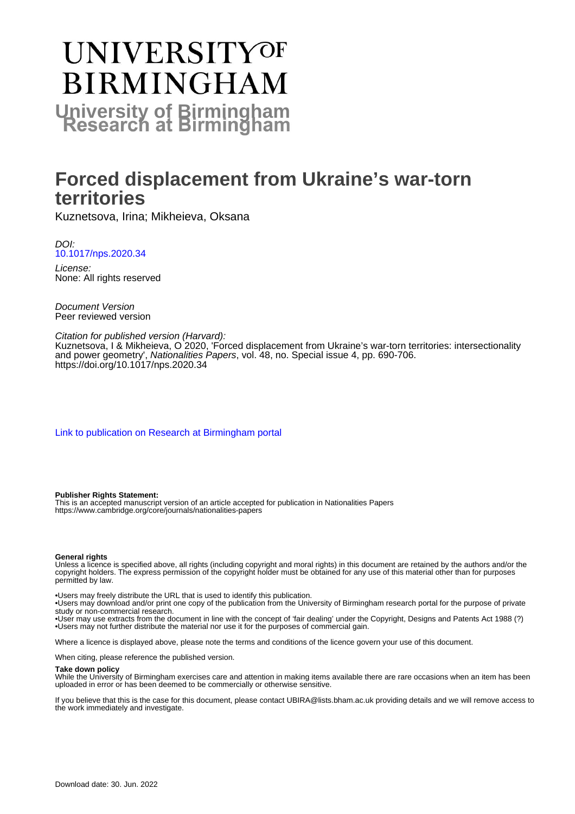# **UNIVERSITYOF BIRMINGHAM University of Birmingham**

# **Forced displacement from Ukraine's war-torn territories**

Kuznetsova, Irina; Mikheieva, Oksana

DOI: [10.1017/nps.2020.34](https://doi.org/10.1017/nps.2020.34)

License: None: All rights reserved

Document Version Peer reviewed version

# Citation for published version (Harvard):

Kuznetsova, I & Mikheieva, O 2020, 'Forced displacement from Ukraine's war-torn territories: intersectionality and power geometry', Nationalities Papers, vol. 48, no. Special issue 4, pp. 690-706. <https://doi.org/10.1017/nps.2020.34>

[Link to publication on Research at Birmingham portal](https://birmingham.elsevierpure.com/en/publications/6ae080df-eb52-473d-b1b6-5d908773ce29)

#### **Publisher Rights Statement:**

This is an accepted manuscript version of an article accepted for publication in Nationalities Papers https://www.cambridge.org/core/journals/nationalities-papers

#### **General rights**

Unless a licence is specified above, all rights (including copyright and moral rights) in this document are retained by the authors and/or the copyright holders. The express permission of the copyright holder must be obtained for any use of this material other than for purposes permitted by law.

• Users may freely distribute the URL that is used to identify this publication.

• Users may download and/or print one copy of the publication from the University of Birmingham research portal for the purpose of private study or non-commercial research.

• User may use extracts from the document in line with the concept of 'fair dealing' under the Copyright, Designs and Patents Act 1988 (?) • Users may not further distribute the material nor use it for the purposes of commercial gain.

Where a licence is displayed above, please note the terms and conditions of the licence govern your use of this document.

When citing, please reference the published version.

#### **Take down policy**

While the University of Birmingham exercises care and attention in making items available there are rare occasions when an item has been uploaded in error or has been deemed to be commercially or otherwise sensitive.

If you believe that this is the case for this document, please contact UBIRA@lists.bham.ac.uk providing details and we will remove access to the work immediately and investigate.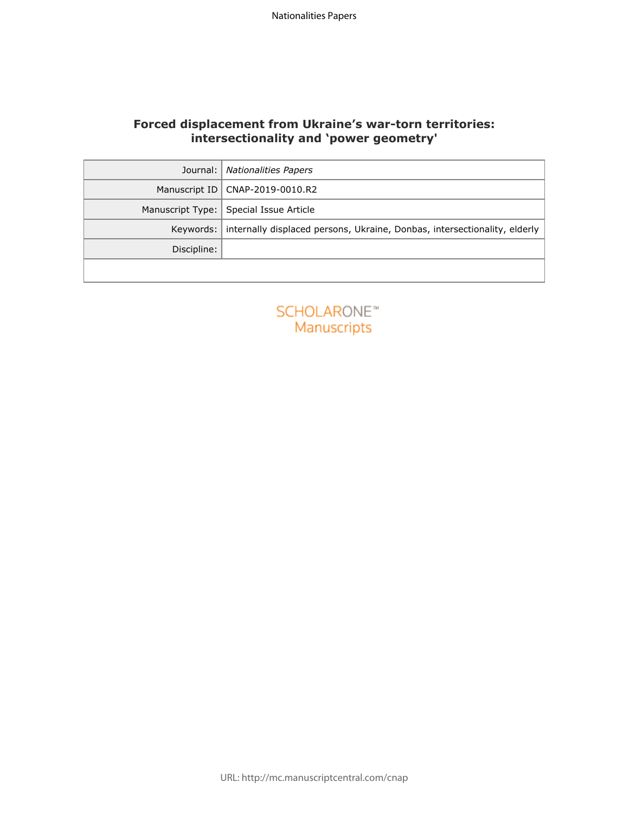# **Forced displacement from Ukraine's war-torn territories: intersectionality and 'power geometry'**

| Journal:           | <b>Nationalities Papers</b>                                               |  |
|--------------------|---------------------------------------------------------------------------|--|
| Manuscript ID      | CNAP-2019-0010.R2                                                         |  |
| Manuscript Type:   | Special Issue Article                                                     |  |
| Keywords:          | internally displaced persons, Ukraine, Donbas, intersectionality, elderly |  |
| Discipline:        |                                                                           |  |
|                    |                                                                           |  |
|                    |                                                                           |  |
| <b>SCHOLARONE™</b> |                                                                           |  |
| Manuscripts        |                                                                           |  |
|                    |                                                                           |  |
|                    |                                                                           |  |
|                    |                                                                           |  |
|                    |                                                                           |  |
|                    |                                                                           |  |
|                    |                                                                           |  |
|                    |                                                                           |  |
|                    |                                                                           |  |
|                    |                                                                           |  |
|                    |                                                                           |  |
|                    |                                                                           |  |
|                    |                                                                           |  |

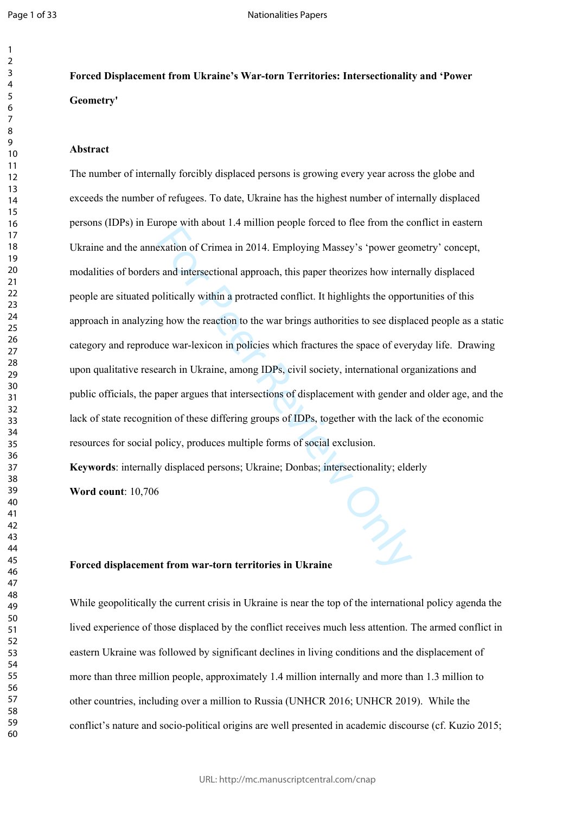# **Forced Displacement from Ukraine's War-torn Territories: Intersectionality and 'Power Geometry'**

# **Abstract**

experience in 2014. Employing Massey's 'power geogradion of Crimea in 2014. Employing Massey's 'power geose and intersectional approach, this paper theorizes how internalitically within a protracted conflict. It highlights The number of internally forcibly displaced persons is growing every year across the globe and exceeds the number of refugees. To date, Ukraine has the highest number of internally displaced persons (IDPs) in Europe with about 1.4 million people forced to flee from the conflict in eastern Ukraine and the annexation of Crimea in 2014. Employing Massey's 'power geometry' concept, modalities of borders and intersectional approach, this paper theorizes how internally displaced people are situated politically within a protracted conflict. It highlights the opportunities of this approach in analyzing how the reaction to the war brings authorities to see displaced people as a static category and reproduce war-lexicon in policies which fractures the space of everyday life. Drawing upon qualitative research in Ukraine, among IDPs, civil society, international organizations and public officials, the paper argues that intersections of displacement with gender and older age, and the lack of state recognition of these differing groups of IDPs, together with the lack of the economic resources for social policy, produces multiple forms of social exclusion.

**Keywords**: internally displaced persons; Ukraine; Donbas; intersectionality; elderly **Word count**: 10,706

# **Forced displacement from war-torn territories in Ukraine**

While geopolitically the current crisis in Ukraine is near the top of the international policy agenda the lived experience of those displaced by the conflict receives much less attention. The armed conflict in eastern Ukraine was followed by significant declines in living conditions and the displacement of more than three million people, approximately 1.4 million internally and more than 1.3 million to other countries, including over a million to Russia (UNHCR 2016; UNHCR 2019). While the conflict's nature and socio-political origins are well presented in academic discourse (cf. Kuzio 2015;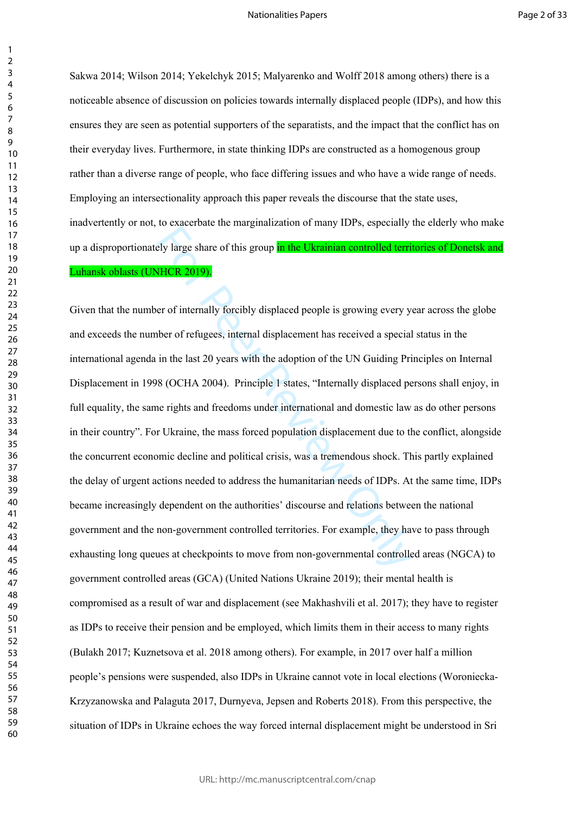$\mathbf{1}$  $\overline{2}$ 

Sakwa 2014; Wilson 2014; Yekelchyk 2015; Malyarenko and Wolff 2018 among others) there is a noticeable absence of discussion on policies towards internally displaced people (IDPs), and how this ensures they are seen as potential supporters of the separatists, and the impact that the conflict has on their everyday lives. Furthermore, in state thinking IDPs are constructed as a homogenous group rather than a diverse range of people, who face differing issues and who have a wide range of needs. Employing an intersectionality approach this paper reveals the discourse that the state uses, inadvertently or not, to exacerbate the marginalization of many IDPs, especially the elderly who make up a disproportionately large share of this group in the Ukrainian controlled territories of Donetsk and Luhansk oblasts (UNHCR 2019).

For Peer Revises and Tangland Service of Many 1225, separating<br>Ely large share of this group in the Ukrainian controlled terri<br>HCR 2019).<br>For of internally forcibly displaced people is growing every y-<br>ber of refugees, int Given that the number of internally forcibly displaced people is growing every year across the globe and exceeds the number of refugees, internal displacement has received a special status in the international agenda in the last 20 years with the adoption of the UN Guiding Principles on Internal Displacement in 1998 (OCHA 2004). Principle 1 states, "Internally displaced persons shall enjoy, in full equality, the same rights and freedoms under international and domestic law as do other persons in their country". For Ukraine, the mass forced population displacement due to the conflict, alongside the concurrent economic decline and political crisis, was a tremendous shock. This partly explained the delay of urgent actions needed to address the humanitarian needs of IDPs. At the same time, IDPs became increasingly dependent on the authorities' discourse and relations between the national government and the non-government controlled territories. For example, they have to pass through exhausting long queues at checkpoints to move from non-governmental controlled areas (NGCA) to government controlled areas (GCA) (United Nations Ukraine 2019); their mental health is compromised as a result of war and displacement (see Makhashvili et al. 2017); they have to register as IDPs to receive their pension and be employed, which limits them in their access to many rights (Bulakh 2017; Kuznetsova et al. 2018 among others). For example, in 2017 over half a million people's pensions were suspended, also IDPs in Ukraine cannot vote in local elections (Woroniecka-Krzyzanowska and Palaguta 2017, Durnyeva, Jepsen and Roberts 2018). From this perspective, the situation of IDPs in Ukraine echoes the way forced internal displacement might be understood in Sri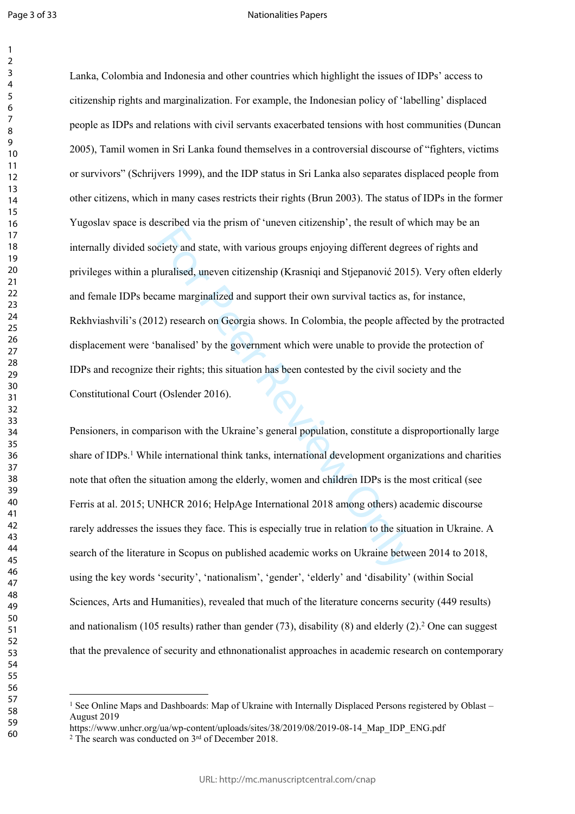$\mathbf{1}$  $\overline{2}$ 

### Nationalities Papers

Early and state, with various groups enjoying different degretive and state, with various groups enjoying different degreturalised, uneven citizenship (Krasniqi and Stjepanović 2015) anne marginalized and support their own Lanka, Colombia and Indonesia and other countries which highlight the issues of IDPs' access to citizenship rights and marginalization. For example, the Indonesian policy of 'labelling' displaced people as IDPs and relations with civil servants exacerbated tensions with host communities (Duncan 2005), Tamil women in Sri Lanka found themselves in a controversial discourse of "fighters, victims or survivors" (Schrijvers 1999), and the IDP status in Sri Lanka also separates displaced people from other citizens, which in many cases restricts their rights (Brun 2003). The status of IDPs in the former Yugoslav space is described via the prism of 'uneven citizenship', the result of which may be an internally divided society and state, with various groups enjoying different degrees of rights and privileges within a pluralised, uneven citizenship (Krasniqi and Stjepanović 2015). Very often elderly and female IDPs became marginalized and support their own survival tactics as, for instance, Rekhviashvili's (2012) research on Georgia shows. In Colombia, the people affected by the protracted displacement were 'banalised' by the government which were unable to provide the protection of IDPs and recognize their rights; this situation has been contested by the civil society and the Constitutional Court (Oslender 2016).

Pensioners, in comparison with the Ukraine's general population, constitute a disproportionally large share of IDPs. 1 While international think tanks, international development organizations and charities note that often the situation among the elderly, women and children IDPs is the most critical (see Ferris at al. 2015; UNHCR 2016; HelpAge International 2018 among others) academic discourse rarely addresses the issues they face. This is especially true in relation to the situation in Ukraine. A search of the literature in Scopus on published academic works on Ukraine between 2014 to 2018, using the key words 'security', 'nationalism', 'gender', 'elderly' and 'disability' (within Social Sciences, Arts and Humanities), revealed that much of the literature concerns security (449 results) and nationalism (105 results) rather than gender (73), disability (8) and elderly (2). 2 One can suggest that the prevalence of security and ethnonationalist approaches in academic research on contemporary

<sup>&</sup>lt;sup>1</sup> See Online Maps and Dashboards: Map of Ukraine with Internally Displaced Persons registered by Oblast – August 2019

https://www.unhcr.org/ua/wp-content/uploads/sites/38/2019/08/2019-08-14 Map IDP\_ENG.pdf

<sup>&</sup>lt;sup>2</sup> The search was conducted on 3<sup>rd</sup> of December 2018.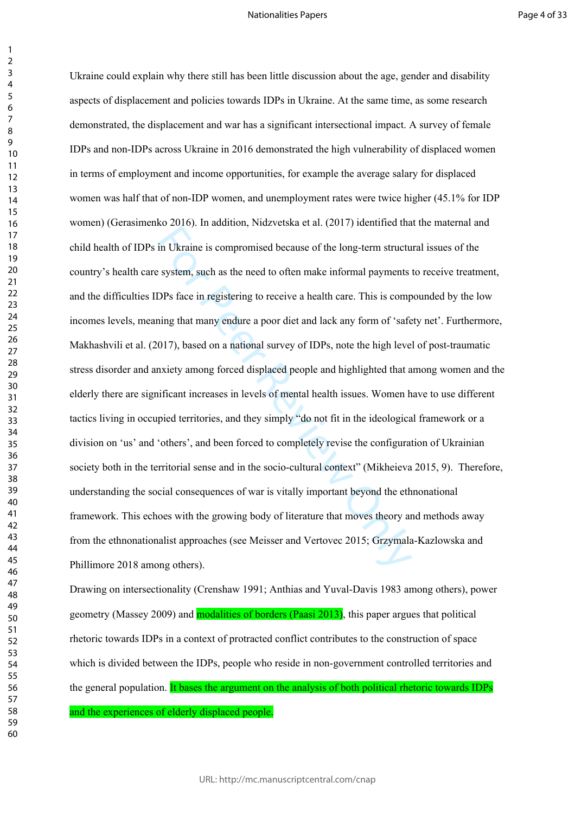## Nationalities Papers

 $\mathbf{1}$ 

in Ukraine is compromised because of the long-term structus<br>in Ukraine is compromised because of the long-term structu<br>system, such as the need to often make informal payments<br>DPs face in registering to receive a health ca Ukraine could explain why there still has been little discussion about the age, gender and disability aspects of displacement and policies towards IDPs in Ukraine. At the same time, as some research demonstrated, the displacement and war has a significant intersectional impact. A survey of female IDPs and non-IDPs across Ukraine in 2016 demonstrated the high vulnerability of displaced women in terms of employment and income opportunities, for example the average salary for displaced women was half that of non-IDP women, and unemployment rates were twice higher (45.1% for IDP women) (Gerasimenko 2016). In addition, Nidzvetska et al. (2017) identified that the maternal and child health of IDPs in Ukraine is compromised because of the long-term structural issues of the country's health care system, such as the need to often make informal payments to receive treatment, and the difficulties IDPs face in registering to receive a health care. This is compounded by the low incomes levels, meaning that many endure a poor diet and lack any form of 'safety net'. Furthermore, Makhashvili et al. (2017), based on a national survey of IDPs, note the high level of post-traumatic stress disorder and anxiety among forced displaced people and highlighted that among women and the elderly there are significant increases in levels of mental health issues. Women have to use different tactics living in occupied territories, and they simply "do not fit in the ideological framework or a division on 'us' and 'others', and been forced to completely revise the configuration of Ukrainian society both in the territorial sense and in the socio-cultural context" (Mikheieva 2015, 9). Therefore, understanding the social consequences of war is vitally important beyond the ethnonational framework. This echoes with the growing body of literature that moves theory and methods away from the ethnonationalist approaches (see Meisser and Vertovec 2015; Grzymala-Kazlowska and Phillimore 2018 among others).

Drawing on intersectionality (Crenshaw 1991; Anthias and Yuval-Davis 1983 among others), power geometry (Massey 2009) and modalities of borders (Paasi 2013), this paper argues that political rhetoric towards IDPs in a context of protracted conflict contributes to the construction of space which is divided between the IDPs, people who reside in non-government controlled territories and the general population. It bases the argument on the analysis of both political rhetoric towards IDPs and the experiences of elderly displaced people.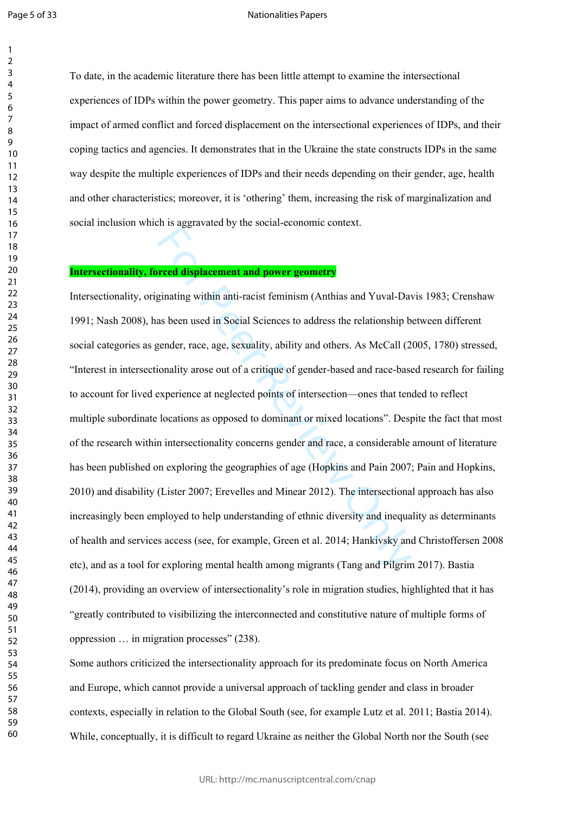#### Nationalities Papers

To date, in the academic literature there has been little attempt to examine the intersectional experiences of IDPs within the power geometry. This paper aims to advance understanding of the impact of armed conflict and forced displacement on the intersectional experiences of IDPs, and their coping tactics and agencies. It demonstrates that in the Ukraine the state constructs IDPs in the same way despite the multiple experiences of IDPs and their needs depending on their gender, age, health and other characteristics; moreover, it is 'othering' them, increasing the risk of marginalization and social inclusion which is aggravated by the social-economic context.

# **Intersectionality, forced displacement and power geometry**

**Example 20 and Solution Controllington**<br> **Example 20 and Solution Controlling Science Sigmanling within anti-racist feminism (Anthias and Yuval-Davas been used in Social Sciences to address the relationship b<br>
gender, rac** Intersectionality, originating within anti-racist feminism (Anthias and Yuval-Davis 1983; Crenshaw 1991; Nash 2008), has been used in Social Sciences to address the relationship between different social categories as gender, race, age, sexuality, ability and others. As McCall (2005, 1780) stressed, "Interest in intersectionality arose out of a critique of gender-based and race-based research for failing to account for lived experience at neglected points of intersection—ones that tended to reflect multiple subordinate locations as opposed to dominant or mixed locations". Despite the fact that most of the research within intersectionality concerns gender and race, a considerable amount of literature has been published on exploring the geographies of age (Hopkins and Pain 2007; Pain and Hopkins, 2010) and disability (Lister 2007; Erevelles and Minear 2012). The intersectional approach has also increasingly been employed to help understanding of ethnic diversity and inequality as determinants of health and services access (see, for example, Green et al. 2014; Hankivsky and Christoffersen 2008 etc), and as a tool for exploring mental health among migrants (Tang and Pilgrim 2017). Bastia (2014), providing an overview of intersectionality's role in migration studies, highlighted that it has "greatly contributed to visibilizing the interconnected and constitutive nature of multiple forms of oppression … in migration processes" (238).

Some authors criticized the intersectionality approach for its predominate focus on North America and Europe, which cannot provide a universal approach of tackling gender and class in broader contexts, especially in relation to the Global South (see, for example Lutz et al. 2011; Bastia 2014). While, conceptually, it is difficult to regard Ukraine as neither the Global North nor the South (see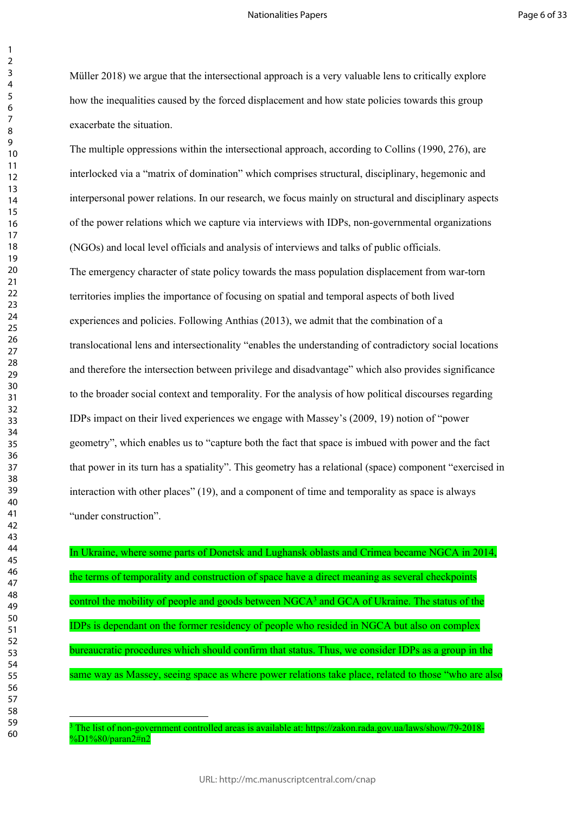Müller 2018) we argue that the intersectional approach is a very valuable lens to critically explore how the inequalities caused by the forced displacement and how state policies towards this group exacerbate the situation.

read of Ficials and analysis of interview sand talks of public of<br>acter of state policy towards the mass population displaceme<br>acter of state policy towards the mass population displaceme<br>importance of focusing on spatial The multiple oppressions within the intersectional approach, according to Collins (1990, 276), are interlocked via a "matrix of domination" which comprises structural, disciplinary, hegemonic and interpersonal power relations. In our research, we focus mainly on structural and disciplinary aspects of the power relations which we capture via interviews with IDPs, non-governmental organizations (NGOs) and local level officials and analysis of interviews and talks of public officials. The emergency character of state policy towards the mass population displacement from war-torn territories implies the importance of focusing on spatial and temporal aspects of both lived experiences and policies. Following Anthias (2013), we admit that the combination of a translocational lens and intersectionality "enables the understanding of contradictory social locations and therefore the intersection between privilege and disadvantage" which also provides significance to the broader social context and temporality. For the analysis of how political discourses regarding IDPs impact on their lived experiences we engage with Massey's (2009, 19) notion of "power geometry", which enables us to "capture both the fact that space is imbued with power and the fact that power in its turn has a spatiality". This geometry has a relational (space) component "exercised in interaction with other places" (19), and a component of time and temporality as space is always "under construction".

In Ukraine, where some parts of Donetsk and Lughansk oblasts and Crimea became NGCA in 2014, the terms of temporality and construction of space have a direct meaning as several checkpoints control the mobility of people and goods between NGCA 3 and GCA of Ukraine. The status of the IDPs is dependant on the former residency of people who resided in NGCA but also on complex bureaucratic procedures which should confirm that status. Thus, we consider IDPs as a group in the same way as Massey, seeing space as where power relations take place, related to those "who are also

 $\mathbf{1}$  $\overline{2}$ 

The list of non-government controlled areas is available at: https://zakon.rada.gov.ua/laws/show/79-2018- %D1%80/paran2#n2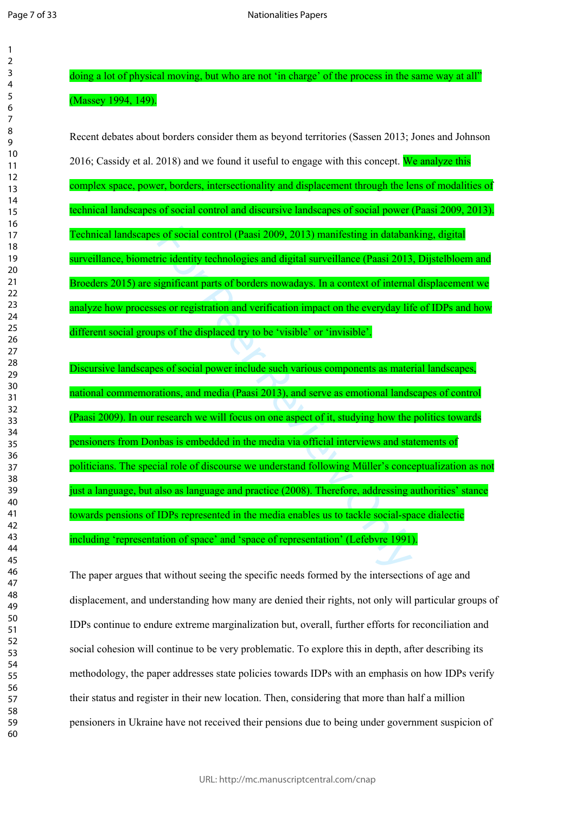doing a lot of physical moving, but who are not 'in charge' of the process in the same way at all" (Massey 1994, 149).

s of social control (Paasi 2009, 2013) manifesting in databantic identity technologies and digital surveillance (Paasi 2013 ignificant parts of borders nowadays. In a context of internal es or registration and verification Recent debates about borders consider them as beyond territories (Sassen 2013; Jones and Johnson 2016; Cassidy et al. 2018) and we found it useful to engage with this concept. We analyze this complex space, power, borders, intersectionality and displacement through the lens of modalities of technical landscapes of social control and discursive landscapes of social power (Paasi 2009, 2013). Technical landscapes of social control (Paasi 2009, 2013) manifesting in databanking, digital surveillance, biometric identity technologies and digital surveillance (Paasi 2013, Dijstelbloem and Broeders 2015) are significant parts of borders nowadays. In a context of internal displacement we analyze how processes or registration and verification impact on the everyday life of IDPs and how different social groups of the displaced try to be 'visible' or 'invisible'. Discursive landscapes of social power include such various components as material landscapes, national commemorations, and media (Paasi 2013), and serve as emotional landscapes of control (Paasi 2009). In our research we will focus on one aspect of it, studying how the politics towards

pensioners from Donbas is embedded in the media via official interviews and statements of politicians. The special role of discourse we understand following Müller's conceptualization as not just a language, but also as language and practice (2008). Therefore, addressing authorities' stance towards pensions of IDPs represented in the media enables us to tackle social-space dialectic including 'representation of space' and 'space of representation' (Lefebvre 1991).

The paper argues that without seeing the specific needs formed by the intersections of age and displacement, and understanding how many are denied their rights, not only will particular groups of IDPs continue to endure extreme marginalization but, overall, further efforts for reconciliation and social cohesion will continue to be very problematic. To explore this in depth, after describing its methodology, the paper addresses state policies towards IDPs with an emphasis on how IDPs verify their status and register in their new location. Then, considering that more than half a million pensioners in Ukraine have not received their pensions due to being under government suspicion of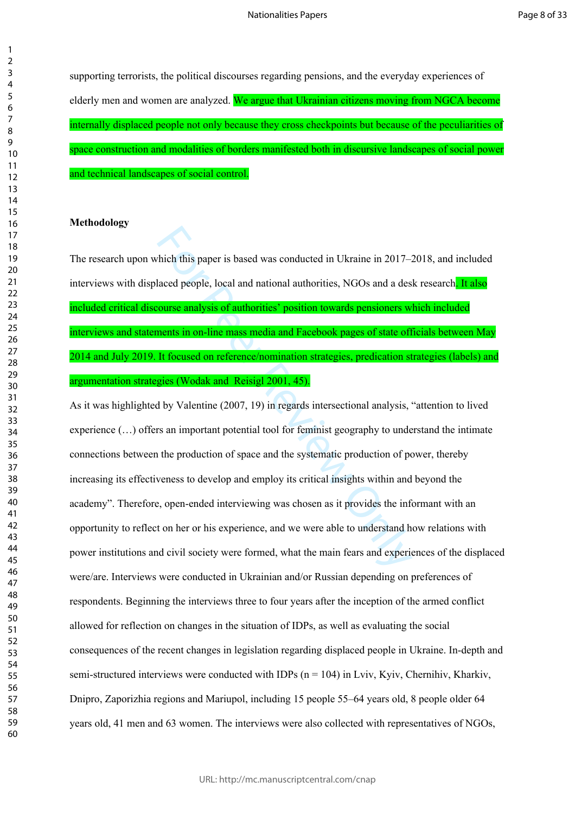supporting terrorists, the political discourses regarding pensions, and the everyday experiences of elderly men and women are analyzed. We argue that Ukrainian citizens moving from NGCA become internally displaced people not only because they cross checkpoints but because of the peculiarities of space construction and modalities of borders manifested both in discursive landscapes of social power and technical landscapes of social control.

# **Methodology**

The research upon which this paper is based was conducted in Ukraine in 2017–2018, and included interviews with displaced people, local and national authorities, NGOs and a desk research. It also included critical discourse analysis of authorities' position towards pensioners which included interviews and statements in on-line mass media and Facebook pages of state officials between May 2014 and July 2019. It focused on reference/nomination strategies, predication strategies (labels) and argumentation strategies (Wodak and Reisigl 2001, 45).

thich this paper is based was conducted in Ukraine in 2017–4<br>laced people, local and national authorities, NGOs and a des<br>**ourse analysis of authorities' position towards pensioners w<br>ments in on-line mass media and Facebo** As it was highlighted by Valentine (2007, 19) in regards intersectional analysis, "attention to lived experience (…) offers an important potential tool for feminist geography to understand the intimate connections between the production of space and the systematic production of power, thereby increasing its effectiveness to develop and employ its critical insights within and beyond the academy". Therefore, open-ended interviewing was chosen as it provides the informant with an opportunity to reflect on her or his experience, and we were able to understand how relations with power institutions and civil society were formed, what the main fears and experiences of the displaced were/are. Interviews were conducted in Ukrainian and/or Russian depending on preferences of respondents. Beginning the interviews three to four years after the inception of the armed conflict allowed for reflection on changes in the situation of IDPs, as well as evaluating the social consequences of the recent changes in legislation regarding displaced people in Ukraine. In-depth and semi-structured interviews were conducted with IDPs ( $n = 104$ ) in Lviv, Kyiv, Chernihiv, Kharkiv, Dnipro, Zaporizhia regions and Mariupol, including 15 people 55–64 years old, 8 people older 64 years old, 41 men and 63 women. The interviews were also collected with representatives of NGOs,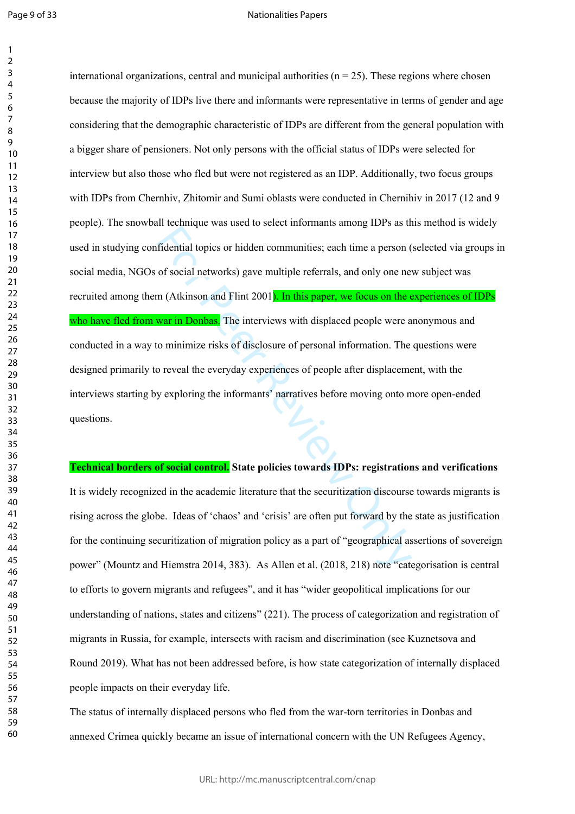$\mathbf{1}$  $\overline{2}$ 

#### Nationalities Papers

fidential topics or hidden communities; each time a person (<br>of social networks) gave multiple referrals, and only one ne<br>m (Atkinson and Flint 2001<mark>). In this paper, we focus on the e<br>war in Donbas.</mark> The interviews with d international organizations, central and municipal authorities ( $n = 25$ ). These regions where chosen because the majority of IDPs live there and informants were representative in terms of gender and age considering that the demographic characteristic of IDPs are different from the general population with a bigger share of pensioners. Not only persons with the official status of IDPs were selected for interview but also those who fled but were not registered as an IDP. Additionally, two focus groups with IDPs from Chernhiv, Zhitomir and Sumi oblasts were conducted in Chernihiv in 2017 (12 and 9 people). The snowball technique was used to select informants among IDPs as this method is widely used in studying confidential topics or hidden communities; each time a person (selected via groups in social media, NGOs of social networks) gave multiple referrals, and only one new subject was recruited among them (Atkinson and Flint 2001). In this paper, we focus on the experiences of IDPs who have fled from war in Donbas. The interviews with displaced people were anonymous and conducted in a way to minimize risks of disclosure of personal information. The questions were designed primarily to reveal the everyday experiences of people after displacement, with the interviews starting by exploring the informants' narratives before moving onto more open-ended questions.

# **Technical borders of social control. State policies towards IDPs: registrations and verifications**  It is widely recognized in the academic literature that the securitization discourse towards migrants is rising across the globe. Ideas of 'chaos' and 'crisis' are often put forward by the state as justification for the continuing securitization of migration policy as a part of "geographical assertions of sovereign power" (Mountz and Hiemstra 2014, 383). As Allen et al. (2018, 218) note "categorisation is central to efforts to govern migrants and refugees", and it has "wider geopolitical implications for our understanding of nations, states and citizens" (221). The process of categorization and registration of migrants in Russia, for example, intersects with racism and discrimination (see Kuznetsova and Round 2019). What has not been addressed before, is how state categorization of internally displaced people impacts on their everyday life.

The status of internally displaced persons who fled from the war-torn territories in Donbas and annexed Crimea quickly became an issue of international concern with the UN Refugees Agency,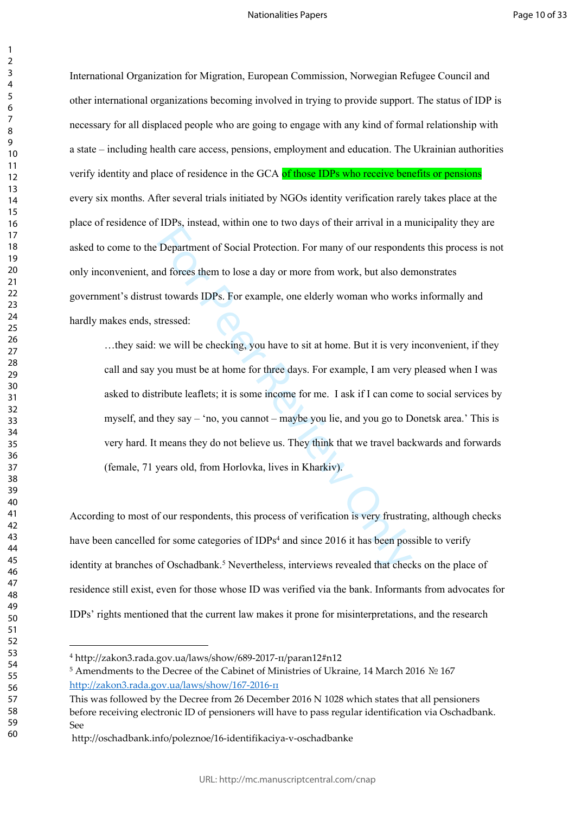International Organization for Migration, European Commission, Norwegian Refugee Council and other international organizations becoming involved in trying to provide support. The status of IDP is necessary for all displaced people who are going to engage with any kind of formal relationship with a state – including health care access, pensions, employment and education. The Ukrainian authorities verify identity and place of residence in the GCA of those IDPs who receive benefits or pensions every six months. After several trials initiated by NGOs identity verification rarely takes place at the place of residence of IDPs, instead, within one to two days of their arrival in a municipality they are asked to come to the Department of Social Protection. For many of our respondents this process is not only inconvenient, and forces them to lose a day or more from work, but also demonstrates government's distrust towards IDPs. For example, one elderly woman who works informally and hardly makes ends, stressed:

Department of Social Protection. For many of our respondend forces them to lose a day or more from work, but also der at towards IDPs. For example, one elderly woman who work tressed:<br>we will be checking, you have to sit …they said: we will be checking, you have to sit at home. But it is very inconvenient, if they call and say you must be at home for three days. For example, I am very pleased when I was asked to distribute leaflets; it is some income for me. I ask if I can come to social services by myself, and they say – 'no, you cannot – maybe you lie, and you go to Donetsk area.' This is very hard. It means they do not believe us. They think that we travel backwards and forwards (female, 71 years old, from Horlovka, lives in Kharkiv).

According to most of our respondents, this process of verification is very frustrating, although checks have been cancelled for some categories of IDPs<sup>4</sup> and since 2016 it has been possible to verify identity at branches of Osсhadbank. 5 Nevertheless, interviews revealed that checks on the place of residence still exist, even for those whose ID was verified via the bank. Informants from advocates for IDPs' rights mentioned that the current law makes it prone for misinterpretations, and the research

 $\mathbf{1}$  $\overline{2}$  $\overline{3}$  $\overline{4}$  $\overline{7}$ 

http://zakon3.rada.gov.ua/laws/show/689-2017-п/paran12#n12

 Amendments to the Decree of the Cabinet of Ministries of Ukraine, 14 March 2016 № 167 [http://zakon3.rada.gov.ua/laws/show/167-2016-п](http://zakon3.rada.gov.ua/laws/show/167-2016-%D0%BF)

This was followed by the Decree from 26 December 2016 N 1028 which states that all pensioners before receiving electronic ID of pensioners will have to pass regular identification via Oschadbank. See

http://oschadbank.info/poleznoe/16-identifikaciya-v-oschadbanke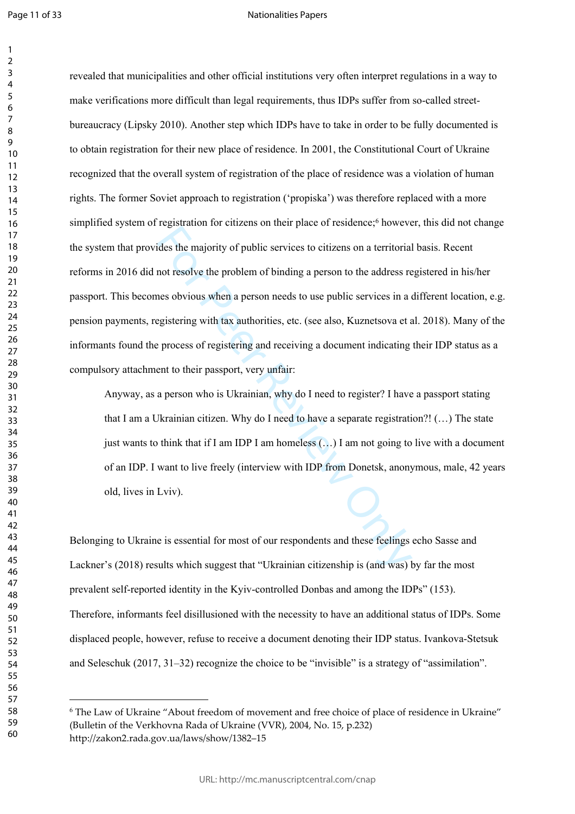$\mathbf{1}$  $\overline{2}$ 

### Nationalities Papers

For Personalism of the Unitary of the protections, in the relations deside the majority of public services to citizens on a territorial not resolve the problem of binding a person to the address reas obvious when a person revealed that municipalities and other official institutions very often interpret regulations in a way to make verifications more difficult than legal requirements, thus IDPs suffer from so-called streetbureaucracy (Lipsky 2010). Another step which IDPs have to take in order to be fully documented is to obtain registration for their new place of residence. In 2001, the Constitutional Court of Ukraine recognized that the overall system of registration of the place of residence was a violation of human rights. The former Soviet approach to registration ('propiska') was therefore replaced with a more simplified system of registration for citizens on their place of residence;<sup>6</sup> however, this did not change the system that provides the majority of public services to citizens on a territorial basis. Recent reforms in 2016 did not resolve the problem of binding a person to the address registered in his/her passport. This becomes obvious when a person needs to use public services in a different location, e.g. pension payments, registering with tax authorities, etc. (see also, Kuznetsova et al. 2018). Many of the informants found the process of registering and receiving a document indicating their IDP status as a compulsory attachment to their passport, very unfair:

Anyway, as a person who is Ukrainian, why do I need to register? I have a passport stating that I am a Ukrainian citizen. Why do I need to have a separate registration?! (…) The state just wants to think that if I am IDP I am homeless (…) I am not going to live with a document of an IDP. I want to live freely (interview with IDP from Donetsk, anonymous, male, 42 years old, lives in Lviv).

Belonging to Ukraine is essential for most of our respondents and these feelings echo Sasse and Lackner's (2018) results which suggest that "Ukrainian citizenship is (and was) by far the most prevalent self-reported identity in the Kyiv-controlled Donbas and among the IDPs" (153). Therefore, informants feel disillusioned with the necessity to have an additional status of IDPs. Some displaced people, however, refuse to receive a document denoting their IDP status. Ivankova-Stetsuk and Seleschuk (2017, 31–32) recognize the choice to be "invisible" is a strategy of "assimilation".

 The Law of Ukraine "About freedom of movement and free choice of place of residence in Ukraine" (Bulletin of the Verkhovna Rada of Ukraine (VVR), 2004, No. 15, p.232) http://zakon2.rada.gov.ua/laws/show/1382–15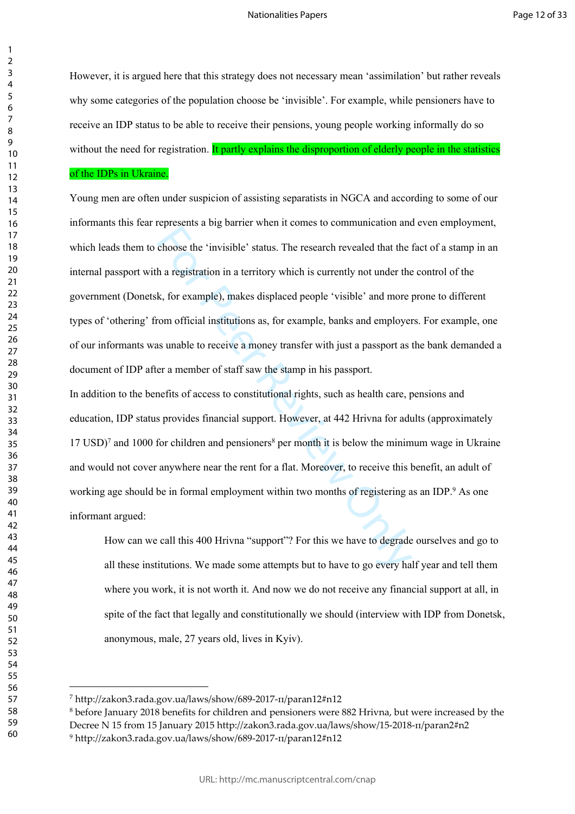However, it is argued here that this strategy does not necessary mean 'assimilation' but rather reveals why some categories of the population choose be 'invisible'. For example, while pensioners have to receive an IDP status to be able to receive their pensions, young people working informally do so without the need for registration. It partly explains the disproportion of elderly people in the statistics

# of the IDPs in Ukraine.

represents a seg same in the invention to communicate the choose the 'invisible' status. The research revealed that the h a registration in a territory which is currently not under the h, for example), makes displaced peop Young men are often under suspicion of assisting separatists in NGCA and according to some of our informants this fear represents a big barrier when it comes to communication and even employment, which leads them to choose the 'invisible' status. The research revealed that the fact of a stamp in an internal passport with a registration in a territory which is currently not under the control of the government (Donetsk, for example), makes displaced people 'visible' and more prone to different types of 'othering' from official institutions as, for example, banks and employers. For example, one of our informants was unable to receive a money transfer with just a passport as the bank demanded a document of IDP after a member of staff saw the stamp in his passport.

In addition to the benefits of access to constitutional rights, such as health care, pensions and education, IDP status provides financial support. However, at 442 Hrivna for adults (approximately 17 USD) 7 and 1000 for children and pensioners 8 per month it is below the minimum wage in Ukraine and would not cover anywhere near the rent for a flat. Moreover, to receive this benefit, an adult of working age should be in formal employment within two months of registering as an IDP.<sup>9</sup> As one informant argued:

How can we call this 400 Hrivna "support"? For this we have to degrade ourselves and go to all these institutions. We made some attempts but to have to go every half year and tell them where you work, it is not worth it. And now we do not receive any financial support at all, in spite of the fact that legally and constitutionally we should (interview with IDP from Donetsk, anonymous, male, 27 years old, lives in Kyiv).

 $\mathbf{1}$ 

http://zakon3.rada.gov.ua/laws/show/689-2017-п/paran12#n12

 before January 2018 benefits for children and pensioners were 882 Hrivna, but were increased by the Decree N 15 from 15 January 2015 http://zakon3.rada.gov.ua/laws/show/15-2018-п/paran2#n2 http://zakon3.rada.gov.ua/laws/show/689-2017-п/paran12#n12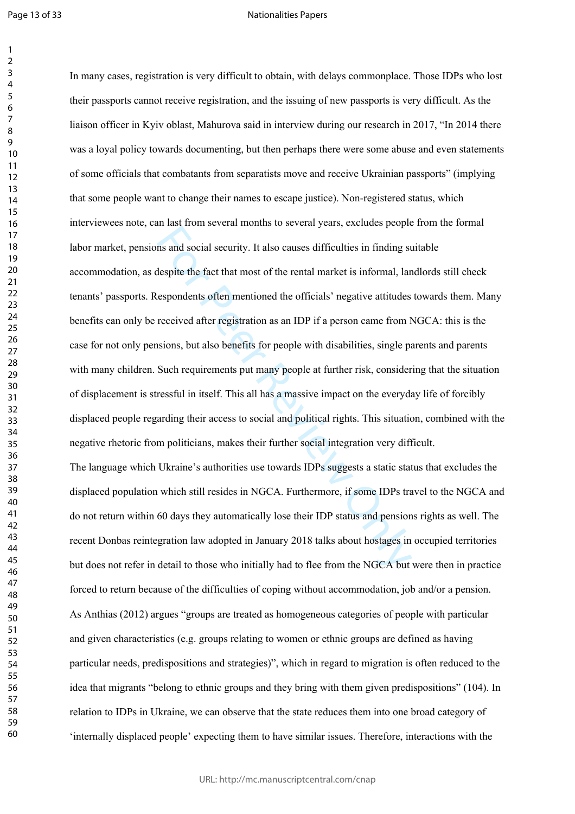Page 13 of 33

 $\mathbf{1}$  $\overline{2}$ 

#### Nationalities Papers

In the case of the fact that most of the rental manned is event. Just, and social security. It also causes difficulties in finding st<br>despite the fact that most of the rental market is informal, lan<br>espondents often mentio In many cases, registration is very difficult to obtain, with delays commonplace. Those IDPs who lost their passports cannot receive registration, and the issuing of new passports is very difficult. As the liaison officer in Kyiv oblast, Mahurova said in interview during our research in 2017, "In 2014 there was a loyal policy towards documenting, but then perhaps there were some abuse and even statements of some officials that combatants from separatists move and receive Ukrainian passports" (implying that some people want to change their names to escape justice). Non-registered status, which interviewees note, can last from several months to several years, excludes people from the formal labor market, pensions and social security. It also causes difficulties in finding suitable accommodation, as despite the fact that most of the rental market is informal, landlords still check tenants' passports. Respondents often mentioned the officials' negative attitudes towards them. Many benefits can only be received after registration as an IDP if a person came from NGCA: this is the case for not only pensions, but also benefits for people with disabilities, single parents and parents with many children. Such requirements put many people at further risk, considering that the situation of displacement is stressful in itself. This all has a massive impact on the everyday life of forcibly displaced people regarding their access to social and political rights. This situation, combined with the negative rhetoric from politicians, makes their further social integration very difficult. The language which Ukraine's authorities use towards IDPs suggests a static status that excludes the displaced population which still resides in NGCA. Furthermore, if some IDPs travel to the NGCA and do not return within 60 days they automatically lose their IDP status and pensions rights as well. The recent Donbas reintegration law adopted in January 2018 talks about hostages in occupied territories but does not refer in detail to those who initially had to flee from the NGCA but were then in practice forced to return because of the difficulties of coping without accommodation, job and/or a pension. As Anthias (2012) argues "groups are treated as homogeneous categories of people with particular and given characteristics (e.g. groups relating to women or ethnic groups are defined as having particular needs, predispositions and strategies)", which in regard to migration is often reduced to the idea that migrants "belong to ethnic groups and they bring with them given predispositions" (104). In

'internally displaced people' expecting them to have similar issues. Therefore, interactions with the

relation to IDPs in Ukraine, we can observe that the state reduces them into one broad category of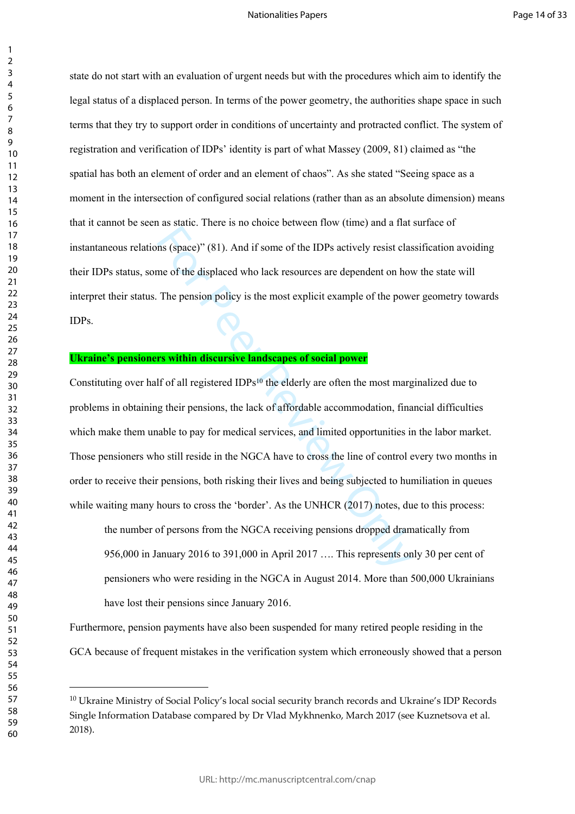## Nationalities Papers

state do not start with an evaluation of urgent needs but with the procedures which aim to identify the legal status of a displaced person. In terms of the power geometry, the authorities shape space in such terms that they try to support order in conditions of uncertainty and protracted conflict. The system of registration and verification of IDPs' identity is part of what Massey (2009, 81) claimed as "the spatial has both an element of order and an element of chaos". As she stated "Seeing space as a moment in the intersection of configured social relations (rather than as an absolute dimension) means that it cannot be seen as static. There is no choice between flow (time) and a flat surface of instantaneous relations (space)" (81). And if some of the IDPs actively resist classification avoiding their IDPs status, some of the displaced who lack resources are dependent on how the state will interpret their status. The pension policy is the most explicit example of the power geometry towards IDPs.

# **Ukraine's pensioners within discursive landscapes of social power**

The state of the displace of the IDPs actively resist class<br>me of the displaced who lack resources are dependent on how<br>The pension policy is the most explicit example of the power<br>**rs within discursive landscapes of soci** Constituting over half of all registered IDPs<sup>10</sup> the elderly are often the most marginalized due to problems in obtaining their pensions, the lack of affordable accommodation, financial difficulties which make them unable to pay for medical services, and limited opportunities in the labor market. Those pensioners who still reside in the NGCA have to cross the line of control every two months in order to receive their pensions, both risking their lives and being subjected to humiliation in queues while waiting many hours to cross the 'border'. As the UNHCR (2017) notes, due to this process:

the number of persons from the NGCA receiving pensions dropped dramatically from 956,000 in January 2016 to 391,000 in April 2017 …. This represents only 30 per cent of pensioners who were residing in the NGCA in August 2014. More than 500,000 Ukrainians have lost their pensions since January 2016.

Furthermore, pension payments have also been suspended for many retired people residing in the GCA because of frequent mistakes in the verification system which erroneously showed that a person

<sup>&</sup>lt;sup>10</sup> Ukraine Ministry of Social Policy's local social security branch records and Ukraine's IDP Records Single Information Database compared by Dr Vlad Mykhnenko, March 2017 (see Kuznetsova et al. 2018).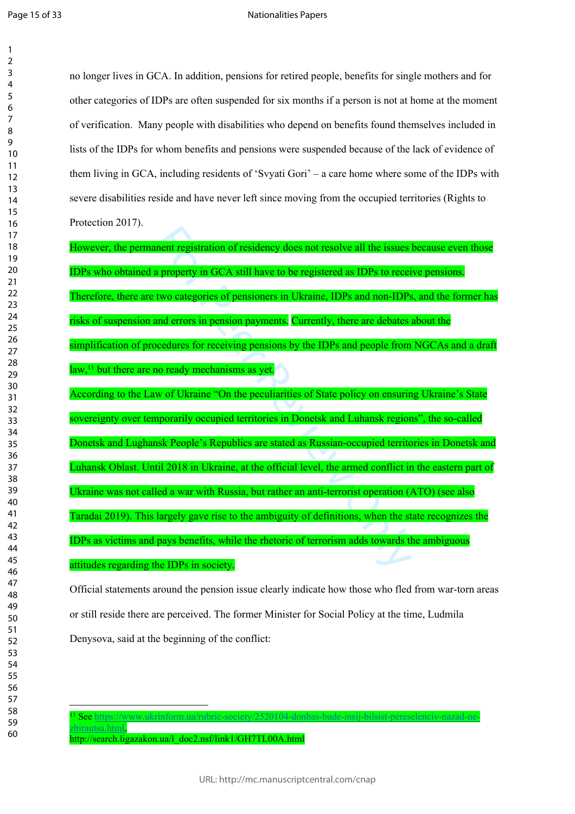### Nationalities Papers

no longer lives in GCA. In addition, pensions for retired people, benefits for single mothers and for other categories of IDPs are often suspended for six months if a person is not at home at the moment of verification. Many people with disabilities who depend on benefits found themselves included in lists of the IDPs for whom benefits and pensions were suspended because of the lack of evidence of them living in GCA, including residents of 'Svyati Gori' – a care home where some of the IDPs with severe disabilities reside and have never left since moving from the occupied territories (Rights to Protection 2017).

ment registration of residency does not resolve all the issues<br>a property in GCA still have to be registered as IDPs to recei<br>two categories of pensioners in Ukraine, IDPs and non-IDPs<br>and errors in pension payments. Curre However, the permanent registration of residency does not resolve all the issues because even those IDPs who obtained a property in GCA still have to be registered as IDPs to receive pensions. Therefore, there are two categories of pensioners in Ukraine, IDPs and non-IDPs, and the former has risks of suspension and errors in pension payments. Currently, there are debates about the simplification of procedures for receiving pensions by the IDPs and people from NGCAs and a draft law,<sup>11</sup> but there are no ready mechanisms as yet. According to the Law of Ukraine "On the peculiarities of State policy on ensuring Ukraine's State sovereignty over temporarily occupied territories in Donetsk and Luhansk regions", the so-called Donetsk and Lughansk People's Republics are stated as Russian-occupied territories in Donetsk and Luhansk Oblast. Until 2018 in Ukraine, at the official level, the armed conflict in the eastern part of Ukraine was not called a war with Russia, but rather an anti-terrorist operation (ATO) (see also Taradai 2019). This largely gave rise to the ambiguity of definitions, when the state recognizes the IDPs as victims and pays benefits, while the rhetoric of terrorism adds towards the ambiguous attitudes regarding the IDPs in society.

Official statements around the pension issue clearly indicate how those who fled from war-torn areas or still reside there are perceived. The former Minister for Social Policy at the time, Ludmila Denysova, said at the beginning of the conflict:

See [https://www.ukrinform.ua/rubric-society/2520104-donbas-bude-insij-bilsist-pereselenciv-nazad-ne-](https://www.ukrinform.ua/rubric-society/2520104-donbas-bude-insij-bilsist-pereselenciv-nazad-ne-zbirautsa.html)

[zbirautsa.html,](https://www.ukrinform.ua/rubric-society/2520104-donbas-bude-insij-bilsist-pereselenciv-nazad-ne-zbirautsa.html)

http://search.ligazakon.ua/l\_doc2.nsf/link1/GH7TL00A.html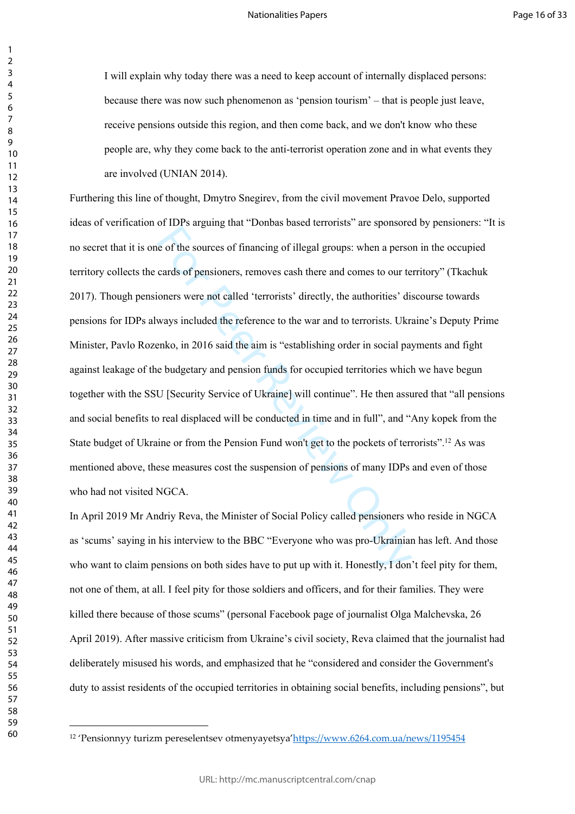I will explain why today there was a need to keep account of internally displaced persons: because there was now such phenomenon as 'pension tourism' – that is people just leave, receive pensions outside this region, and then come back, and we don't know who these people are, why they come back to the anti-terrorist operation zone and in what events they are involved (UNIAN 2014).

For the surginity time about and the surginity and the surginity of the sources of financing of illegal groups: when a perso cards of pensioners, removes cash there and comes to our te oners were not called 'terrorists' di Furthering this line of thought, Dmytro Snegirev, from the civil movement Pravoe Delo, supported ideas of verification of IDPs arguing that "Donbas based terrorists" are sponsored by pensioners: "It is no secret that it is one of the sources of financing of illegal groups: when a person in the occupied territory collects the cards of pensioners, removes cash there and comes to our territory" (Tkachuk 2017). Though pensioners were not called 'terrorists' directly, the authorities' discourse towards pensions for IDPs always included the reference to the war and to terrorists. Ukraine's Deputy Prime Minister, Pavlo Rozenko, in 2016 said the aim is "establishing order in social payments and fight against leakage of the budgetary and pension funds for occupied territories which we have begun together with the SSU [Security Service of Ukraine] will continue". He then assured that "all pensions and social benefits to real displaced will be conducted in time and in full", and "Any kopek from the State budget of Ukraine or from the Pension Fund won't get to the pockets of terrorists".<sup>12</sup> As was mentioned above, these measures cost the suspension of pensions of many IDPs and even of those who had not visited NGCA.

In April 2019 Mr Andriy Reva, the Minister of Social Policy called pensioners who reside in NGCA as 'scums' saying in his interview to the BBC "Everyone who was pro-Ukrainian has left. And those who want to claim pensions on both sides have to put up with it. Honestly, I don't feel pity for them, not one of them, at all. I feel pity for those soldiers and officers, and for their families. They were killed there because of those scums" (personal Facebook page of journalist Olga Malchevska, 26 April 2019). After massive criticism from Ukraine's civil society, Reva claimed that the journalist had deliberately misused his words, and emphasized that he "considered and consider the Government's duty to assist residents of the occupied territories in obtaining social benefits, including pensions", but

'Pensionnyy turizm pereselentsev otmenyayetsya['https://www.6264.com.ua/news/1195454](https://www.6264.com.ua/news/1195454)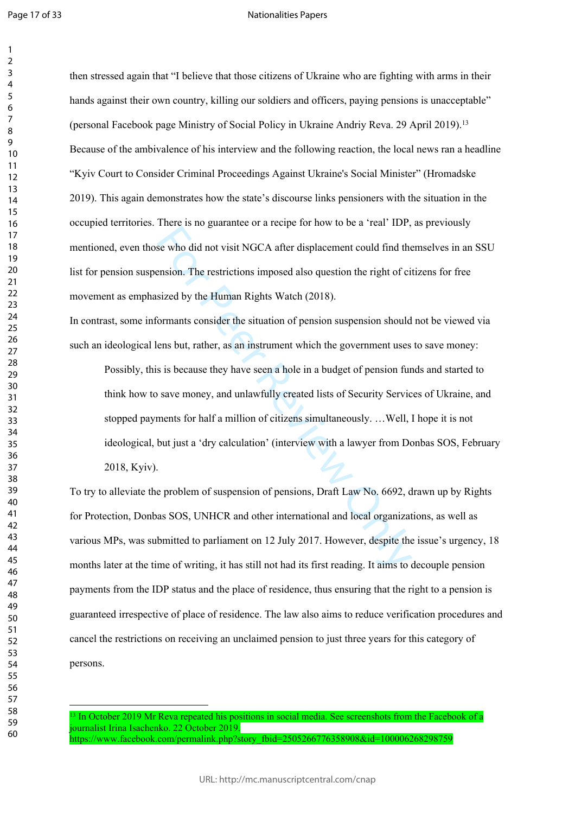### Nationalities Papers

then stressed again that "I believe that those citizens of Ukraine who are fighting with arms in their hands against their own country, killing our soldiers and officers, paying pensions is unacceptable" (personal Facebook page Ministry of Social Policy in Ukraine Andriy Reva. 29 April 2019).<sup>13</sup> Because of the ambivalence of his interview and the following reaction, the local news ran a headline "Kyiv Court to Consider Criminal Proceedings Against Ukraine's Social Minister" (Hromadske 2019). This again demonstrates how the state's discourse links pensioners with the situation in the occupied territories. There is no guarantee or a recipe for how to be a 'real' IDP, as previously mentioned, even those who did not visit NGCA after displacement could find themselves in an SSU list for pension suspension. The restrictions imposed also question the right of citizens for free movement as emphasized by the Human Rights Watch (2018).

In contrast, some informants consider the situation of pension suspension should not be viewed via such an ideological lens but, rather, as an instrument which the government uses to save money:

From a be guidence of a transposed into the setation for the setation of the setation.<br>See who did not visit NGCA after displacement could find the<br>ension. The restrictions imposed also question the right of ci<br>sized by th Possibly, this is because they have seen a hole in a budget of pension funds and started to think how to save money, and unlawfully created lists of Security Services of Ukraine, and stopped payments for half a million of citizens simultaneously. …Well, I hope it is not ideological, but just a 'dry calculation' (interview with a lawyer from Donbas SOS, February 2018, Kyiv).

To try to alleviate the problem of suspension of pensions, Draft Law No. 6692, drawn up by Rights for Protection, Donbas SOS, UNHCR and other international and local organizations, as well as various MPs, was submitted to parliament on 12 July 2017. However, despite the issue's urgency, 18 months later at the time of writing, it has still not had its first reading. It aims to decouple pension payments from the IDP status and the place of residence, thus ensuring that the right to a pension is guaranteed irrespective of place of residence. The law also aims to reduce verification procedures and cancel the restrictions on receiving an unclaimed pension to just three years for this category of persons.

<sup>3</sup> In October 2019 Mr Reva repeated his positions in social media. See screenshots from the Facebook of a journalist Irina Isachenko. 22 October 2019. https://www.facebook.com/permalink.php?story\_fbid=2505266776358908&id=100006268298759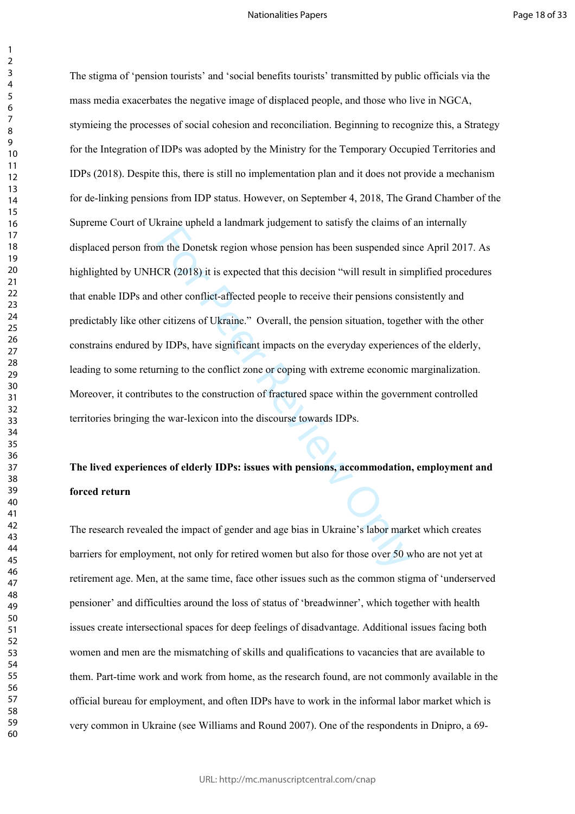### Nationalities Papers

 $\mathbf{1}$ 

mand a photo a minimitry jungarithm to bands) and values of<br>the Donetsk region whose pension has been suspended sir<br>CR (2018) it is expected that this decision "will result in sim<br>other conflict-affected people to receive The stigma of 'pension tourists' and 'social benefits tourists' transmitted by public officials via the mass media exacerbates the negative image of displaced people, and those who live in NGCA, stymieing the processes of social cohesion and reconciliation. Beginning to recognize this, a Strategy for the Integration of IDPs was adopted by the Ministry for the Temporary Occupied Territories and IDPs (2018). Despite this, there is still no implementation plan and it does not provide a mechanism for de-linking pensions from IDP status. However, on September 4, 2018, The Grand Chamber of the Supreme Court of Ukraine upheld a landmark judgement to satisfy the claims of an internally displaced person from the Donetsk region whose pension has been suspended since April 2017. As highlighted by UNHCR (2018) it is expected that this decision "will result in simplified procedures that enable IDPs and other conflict-affected people to receive their pensions consistently and predictably like other citizens of Ukraine." Overall, the pension situation, together with the other constrains endured by IDPs, have significant impacts on the everyday experiences of the elderly, leading to some returning to the conflict zone or coping with extreme economic marginalization. Moreover, it contributes to the construction of fractured space within the government controlled territories bringing the war-lexicon into the discourse towards IDPs.

# **The lived experiences of elderly IDPs: issues with pensions, accommodation, employment and forced return**

The research revealed the impact of gender and age bias in Ukraine's labor market which creates barriers for employment, not only for retired women but also for those over 50 who are not yet at retirement age. Men, at the same time, face other issues such as the common stigma of 'underserved pensioner' and difficulties around the loss of status of 'breadwinner', which together with health issues create intersectional spaces for deep feelings of disadvantage. Additional issues facing both women and men are the mismatching of skills and qualifications to vacancies that are available to them. Part-time work and work from home, as the research found, are not commonly available in the official bureau for employment, and often IDPs have to work in the informal labor market which is very common in Ukraine (see Williams and Round 2007). One of the respondents in Dnipro, a 69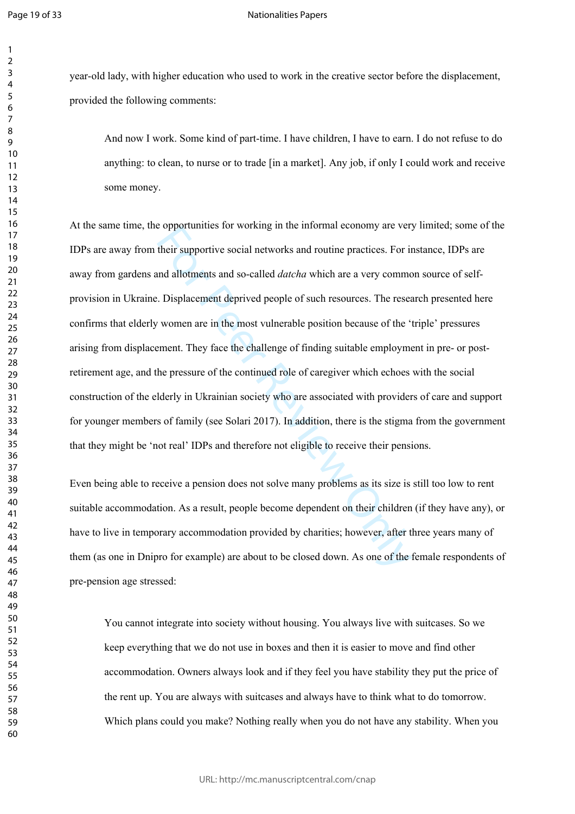$\mathbf{1}$  $\overline{2}$  $\overline{3}$  $\overline{4}$  $\overline{7}$ 

## Nationalities Papers

year-old lady, with higher education who used to work in the creative sector before the displacement, provided the following comments:

And now I work. Some kind of part-time. I have children, I have to earn. I do not refuse to do anything: to clean, to nurse or to trade [in a market]. Any job, if only I could work and receive some money.

be opportunes for working in the informal economy are ver-<br>their supportive social networks and routine practices. For in<br>and allotments and so-called *datcha* which are a very common.<br>Displacement deprived people of such At the same time, the opportunities for working in the informal economy are very limited; some of the IDPs are away from their supportive social networks and routine practices. For instance, IDPs are away from gardens and allotments and so-called *datcha* which are a very common source of selfprovision in Ukraine. Displacement deprived people of such resources. The research presented here confirms that elderly women are in the most vulnerable position because of the 'triple' pressures arising from displacement. They face the challenge of finding suitable employment in pre- or postretirement age, and the pressure of the continued role of caregiver which echoes with the social construction of the elderly in Ukrainian society who are associated with providers of care and support for younger members of family (see Solari 2017). In addition, there is the stigma from the government that they might be 'not real' IDPs and therefore not eligible to receive their pensions.

Even being able to receive a pension does not solve many problems as its size is still too low to rent suitable accommodation. As a result, people become dependent on their children (if they have any), or have to live in temporary accommodation provided by charities; however, after three years many of them (as one in Dnipro for example) are about to be closed down. As one of the female respondents of pre-pension age stressed:

You cannot integrate into society without housing. You always live with suitcases. So we keep everything that we do not use in boxes and then it is easier to move and find other accommodation. Owners always look and if they feel you have stability they put the price of the rent up. You are always with suitcases and always have to think what to do tomorrow. Which plans could you make? Nothing really when you do not have any stability. When you

URL: http://mc.manuscriptcentral.com/cnap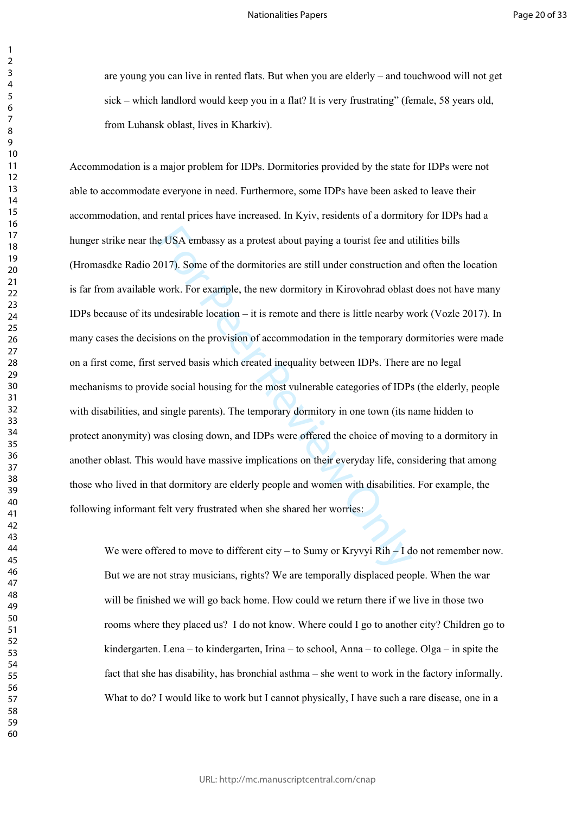are young you can live in rented flats. But when you are elderly – and touchwood will not get sick – which landlord would keep you in a flat? It is very frustrating" (female, 58 years old, from Luhansk oblast, lives in Kharkiv).

e USA embassy as a protest about paying a tourist fee and u<br>
017). Some of the dormitories are still under construction are<br>
work. For example, the new dormitory in Kirovohrad oblast<br>
undesirable location – it is remote an Accommodation is a major problem for IDPs. Dormitories provided by the state for IDPs were not able to accommodate everyone in need. Furthermore, some IDPs have been asked to leave their accommodation, and rental prices have increased. In Kyiv, residents of a dormitory for IDPs had a hunger strike near the USA embassy as a protest about paying a tourist fee and utilities bills (Hromasdke Radio 2017). Some of the dormitories are still under construction and often the location is far from available work. For example, the new dormitory in Kirovohrad oblast does not have many IDPs because of its undesirable location – it is remote and there is little nearby work (Vozle 2017). In many cases the decisions on the provision of accommodation in the temporary dormitories were made on a first come, first served basis which created inequality between IDPs. There are no legal mechanisms to provide social housing for the most vulnerable categories of IDPs (the elderly, people with disabilities, and single parents). The temporary dormitory in one town (its name hidden to protect anonymity) was closing down, and IDPs were offered the choice of moving to a dormitory in another oblast. This would have massive implications on their everyday life, considering that among those who lived in that dormitory are elderly people and women with disabilities. For example, the following informant felt very frustrated when she shared her worries:

We were offered to move to different city – to Sumy or Kryvyi Rih – I do not remember now. But we are not stray musicians, rights? We are temporally displaced people. When the war will be finished we will go back home. How could we return there if we live in those two rooms where they placed us? I do not know. Where could I go to another city? Children go to kindergarten. Lena – to kindergarten, Irina – to school, Anna – to college. Olga – in spite the fact that she has disability, has bronchial asthma – she went to work in the factory informally. What to do? I would like to work but I cannot physically, I have such a rare disease, one in a

 $\mathbf{1}$  $\overline{2}$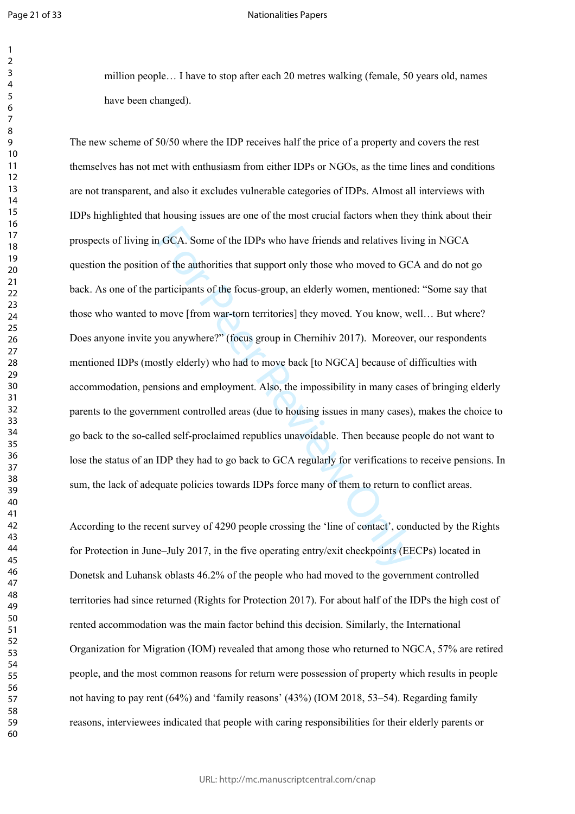$\mathbf{1}$  $\overline{2}$  $\overline{3}$  $\overline{4}$  $\overline{7}$ 

### Nationalities Papers

million people… I have to stop after each 20 metres walking (female, 50 years old, names have been changed).

1 GCA. Some of the IDPs who have friends and relatives liventuated in the authorities that support only those who moved to GC participants of the focus-group, an elderly women, mentione move [from war-torn territories] the The new scheme of 50/50 where the IDP receives half the price of a property and covers the rest themselves has not met with enthusiasm from either IDPs or NGOs, as the time lines and conditions are not transparent, and also it excludes vulnerable categories of IDPs. Almost all interviews with IDPs highlighted that housing issues are one of the most crucial factors when they think about their prospects of living in GCA. Some of the IDPs who have friends and relatives living in NGCA question the position of the authorities that support only those who moved to GCA and do not go back. As one of the participants of the focus-group, an elderly women, mentioned: "Some say that those who wanted to move [from war-torn territories] they moved. You know, well… But where? Does anyone invite you anywhere?" (focus group in Chernihiv 2017). Moreover, our respondents mentioned IDPs (mostly elderly) who had to move back [to NGCA] because of difficulties with accommodation, pensions and employment. Also, the impossibility in many cases of bringing elderly parents to the government controlled areas (due to housing issues in many cases), makes the choice to go back to the so-called self-proclaimed republics unavoidable. Then because people do not want to lose the status of an IDP they had to go back to GCA regularly for verifications to receive pensions. In sum, the lack of adequate policies towards IDPs force many of them to return to conflict areas.

According to the recent survey of 4290 people crossing the 'line of contact', conducted by the Rights for Protection in June–July 2017, in the five operating entry/exit checkpoints (EECPs) located in Donetsk and Luhansk oblasts 46.2% of the people who had moved to the government controlled territories had since returned (Rights for Protection 2017). For about half of the IDPs the high cost of rented accommodation was the main factor behind this decision. Similarly, the International Organization for Migration (IOM) revealed that among those who returned to NGCA, 57% are retired people, and the most common reasons for return were possession of property which results in people not having to pay rent (64%) and 'family reasons' (43%) (IOM 2018, 53–54). Regarding family reasons, interviewees indicated that people with caring responsibilities for their elderly parents or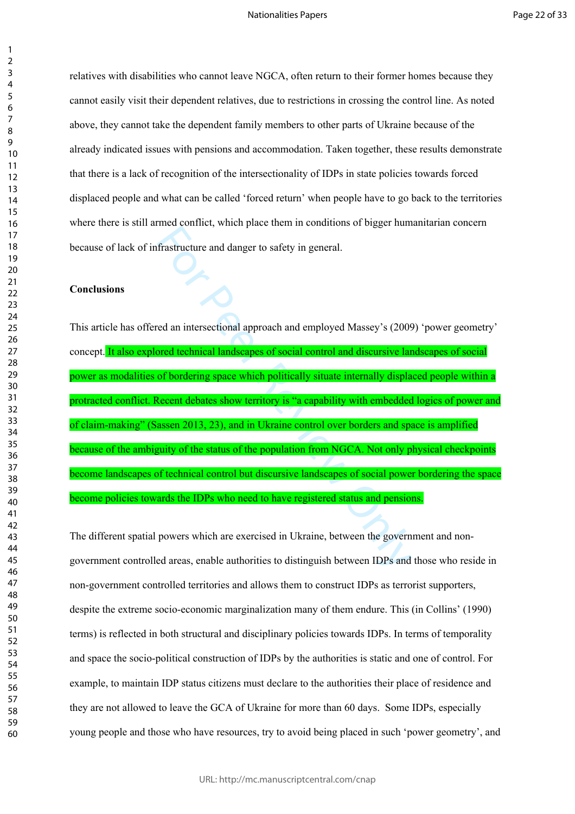relatives with disabilities who cannot leave NGCA, often return to their former homes because they cannot easily visit their dependent relatives, due to restrictions in crossing the control line. As noted above, they cannot take the dependent family members to other parts of Ukraine because of the already indicated issues with pensions and accommodation. Taken together, these results demonstrate that there is a lack of recognition of the intersectionality of IDPs in state policies towards forced displaced people and what can be called 'forced return' when people have to go back to the territories where there is still armed conflict, which place them in conditions of bigger humanitarian concern because of lack of infrastructure and danger to safety in general.

# **Conclusions**

Trastructure and danger to safety in general.<br>
frastructure and danger to safety in general.<br>
ed an intersectional approach and employed Massey's (2009)<br>
ord technical landscapes of social control and discursive land<br>
of b This article has offered an intersectional approach and employed Massey's (2009) 'power geometry' concept. It also explored technical landscapes of social control and discursive landscapes of social power as modalities of bordering space which politically situate internally displaced people within a protracted conflict. Recent debates show territory is "a capability with embedded logics of power and of claim-making" (Sassen 2013, 23), and in Ukraine control over borders and space is amplified because of the ambiguity of the status of the population from NGCA. Not only physical checkpoints become landscapes of technical control but discursive landscapes of social power bordering the space become policies towards the IDPs who need to have registered status and pensions.

The different spatial powers which are exercised in Ukraine, between the government and nongovernment controlled areas, enable authorities to distinguish between IDPs and those who reside in non-government controlled territories and allows them to construct IDPs as terrorist supporters, despite the extreme socio-economic marginalization many of them endure. This (in Collins' (1990) terms) is reflected in both structural and disciplinary policies towards IDPs. In terms of temporality and space the socio-political construction of IDPs by the authorities is static and one of control. For example, to maintain IDP status citizens must declare to the authorities their place of residence and they are not allowed to leave the GCA of Ukraine for more than 60 days. Some IDPs, especially young people and those who have resources, try to avoid being placed in such 'power geometry', and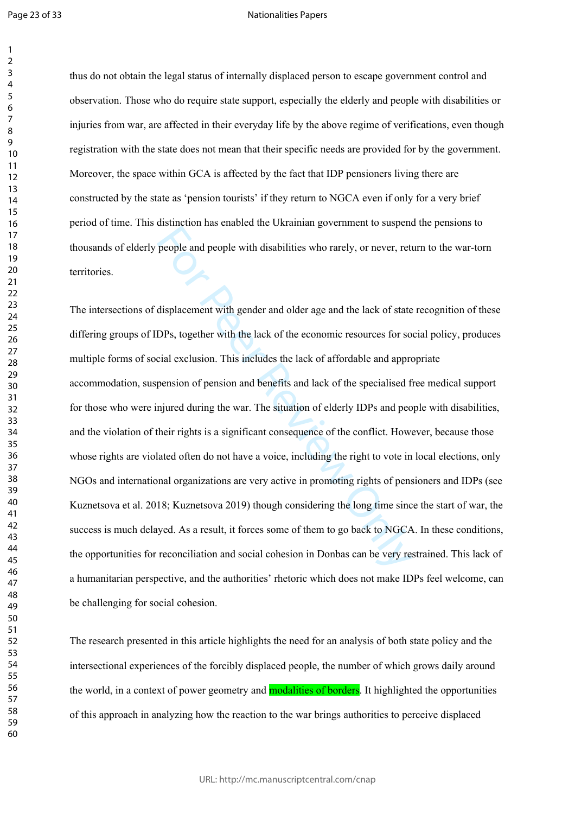$\mathbf{1}$  $\overline{2}$ 

### Nationalities Papers

thus do not obtain the legal status of internally displaced person to escape government control and observation. Those who do require state support, especially the elderly and people with disabilities or injuries from war, are affected in their everyday life by the above regime of verifications, even though registration with the state does not mean that their specific needs are provided for by the government. Moreover, the space within GCA is affected by the fact that IDP pensioners living there are constructed by the state as 'pension tourists' if they return to NGCA even if only for a very brief period of time. This distinction has enabled the Ukrainian government to suspend the pensions to thousands of elderly people and people with disabilities who rarely, or never, return to the war-torn territories.

manuscal and statistical developting to the last of state<br>people and people with disabilities who rarely, or never, rett<br>displacement with gender and older age and the lack of state<br>DPs, together with the lack of the econo The intersections of displacement with gender and older age and the lack of state recognition of these differing groups of IDPs, together with the lack of the economic resources for social policy, produces multiple forms of social exclusion. This includes the lack of affordable and appropriate accommodation, suspension of pension and benefits and lack of the specialised free medical support for those who were injured during the war. The situation of elderly IDPs and people with disabilities, and the violation of their rights is a significant consequence of the conflict. However, because those whose rights are violated often do not have a voice, including the right to vote in local elections, only NGOs and international organizations are very active in promoting rights of pensioners and IDPs (see Kuznetsova et al. 2018; Kuznetsova 2019) though considering the long time since the start of war, the success is much delayed. As a result, it forces some of them to go back to NGCA. In these conditions, the opportunities for reconciliation and social cohesion in Donbas can be very restrained. This lack of a humanitarian perspective, and the authorities' rhetoric which does not make IDPs feel welcome, can be challenging for social cohesion.

The research presented in this article highlights the need for an analysis of both state policy and the intersectional experiences of the forcibly displaced people, the number of which grows daily around the world, in a context of power geometry and **modalities of borders**. It highlighted the opportunities of this approach in analyzing how the reaction to the war brings authorities to perceive displaced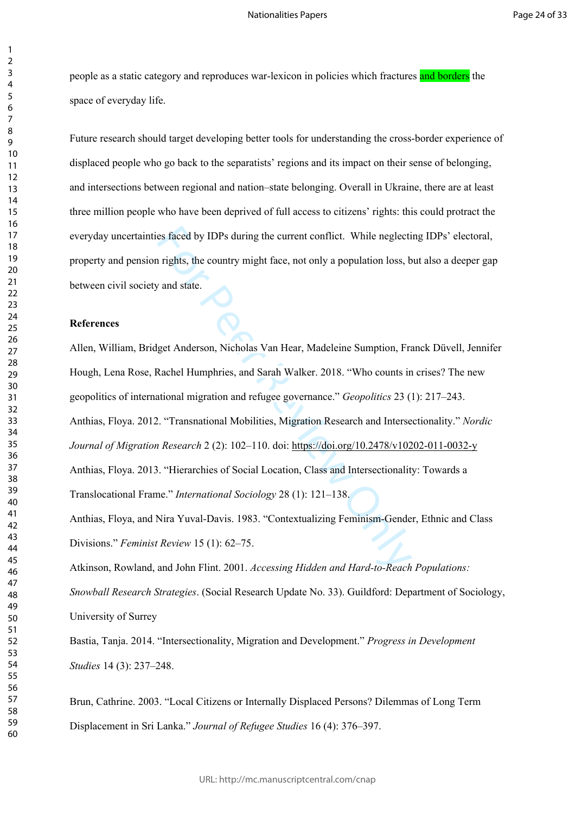people as a static category and reproduces war-lexicon in policies which fractures and borders the space of everyday life.

Future research should target developing better tools for understanding the cross-border experience of displaced people who go back to the separatists' regions and its impact on their sense of belonging, and intersections between regional and nation–state belonging. Overall in Ukraine, there are at least three million people who have been deprived of full access to citizens' rights: this could protract the everyday uncertainties faced by IDPs during the current conflict. While neglecting IDPs' electoral, property and pension rights, the country might face, not only a population loss, but also a deeper gap between civil society and state.

# **References**

es faced by IDPs during the current conflict. While neglecti<br>
rights, the country might face, not only a population loss, b<br> *x* and state.<br>
get Anderson, Nicholas Van Hear, Madeleine Sumption, Fra<br>
Rachel Humphries, and S Allen, William, Bridget Anderson, Nicholas Van Hear, Madeleine Sumption, Franck Düvell, Jennifer Hough, Lena Rose, Rachel Humphries, and Sarah Walker. 2018. "Who counts in crises? The new geopolitics of international migration and refugee governance." *Geopolitics* 23 (1): 217–243. Anthias, Floya. 2012. "Transnational Mobilities, Migration Research and Intersectionality." *Nordic Journal of Migration Research* 2 (2): 102–110. doi:<https://doi.org/10.2478/v10202-011-0032-y> Anthias, Floya. 2013. "Hierarchies of Social Location, Class and Intersectionality: Towards a Translocational Frame." *International Sociology* 28 (1): 121–138. Anthias, Floya, and Nira Yuval-Davis. 1983. "Contextualizing Feminism-Gender, Ethnic and Class Divisions." *Feminist Review* 15 (1): 62–75. Atkinson, Rowland, and John Flint. 2001. *Accessing Hidden and Hard-to-Reach Populations:* 

*Snowball Research Strategies*. (Social Research Update No. 33). Guildford: Department of Sociology, University of Surrey

Bastia, Tanja. 2014. "Intersectionality, Migration and Development." *Progress in Development Studies* 14 (3): 237–248.

Brun, Cathrine. 2003. "Local Citizens or Internally Displaced Persons? Dilemmas of Long Term Displacement in Sri Lanka." *Journal of Refugee Studies* 16 (4): 376–397.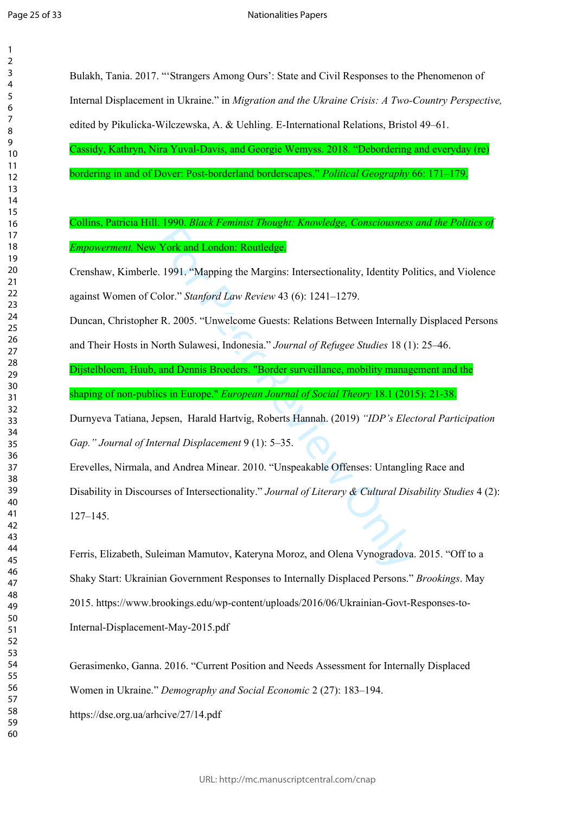| 1                            |
|------------------------------|
| 2                            |
| 3                            |
| 4                            |
| 5                            |
| 6                            |
|                              |
| 8                            |
| d<br>J                       |
| $\overline{10}$              |
| 1<br>$\mathbf{1}$            |
| 1<br>C                       |
| $\overline{1}$ :<br>3        |
| $\overline{14}$              |
| 15                           |
|                              |
| 16                           |
| 1                            |
| 18                           |
| 19                           |
| 20                           |
| $\overline{21}$              |
| $\overline{2}$<br>2          |
| $\overline{2}$<br>3          |
| $^{24}$                      |
| 25                           |
| $\frac{26}{5}$               |
| $^{27}$                      |
| 28                           |
| 29                           |
| 30                           |
| $\mathbf{S}$<br>1            |
| $\overline{\mathbf{3}}$<br>C |
| $\overline{\mathbf{3}}$<br>ξ |
| 34                           |
| 35                           |
| 36                           |
|                              |
| 37                           |
| $\overline{\bf 8}$           |
| 39                           |
| 40                           |
| 41                           |
| 42                           |
| 43                           |
| 44                           |
| 45                           |
| 46                           |
| 47                           |
| 48                           |
| 49                           |
| 50                           |
| 51                           |
| 52                           |
| 5:<br>3                      |
| 54                           |
| 55                           |
| 56                           |
| 57                           |
| 58                           |
| 59                           |
| 60                           |
|                              |

Bulakh, Tania. 2017. "'Strangers Among Ours': State and Civil Responses to the Phenomenon of Internal Displacement in Ukraine." in *Migration and the Ukraine Crisis: A Two-Country Perspective,* edited by Pikulicka-Wilczewska, A. & Uehling. E-International Relations, Bristol 49–61.

Cassidy, Kathryn, Nira Yuval-Davis, and Georgie Wemyss. 2018. "Debordering and everyday (re) bordering in and of Dover: Post-borderland borderscapes." *Political Geography* 66: 171–179.

# Collins, Patricia Hill. 1990. *Black Feminist Thought: Knowledge, Consciousness and the Politics of Empowerment.* New York and London: Routledge.

Crenshaw, Kimberle. 1991. "Mapping the Margins: Intersectionality, Identity Politics, and Violence against Women of Color." *Stanford Law Review* 43 (6): 1241–1279.

Duncan, Christopher R. 2005. "Unwelcome Guests: Relations Between Internally Displaced Persons and Their Hosts in North Sulawesi, Indonesia." *Journal of Refugee Studies* 18 (1): 25–46.

Dijstelbloem, Huub, and Dennis Broeders. "Border surveillance, mobility management and the shaping of non-publics in Europe." *European Journal of Social Theory* 18.1 (2015): 21-38.

Durnyeva Tatiana, Jepsen, Harald Hartvig, Roberts Hannah. (2019) *"IDP's Electoral Participation Gap." Journal of Internal Displacement* 9 (1): 5–35.

**Example 2018 Internals Controls 2018 Internals Controls 2019**<br>
Fork and London: Routledge.<br>
1991. "Mapping the Margins: Intersectionality, Identity Po<br>
olor." *Stanford Law Review* 43 (6): 1241–1279.<br>
18. 2005. "Unwelcome Erevelles, Nirmala, and Andrea Minear. 2010. "Unspeakable Offenses: Untangling Race and Disability in Discourses of Intersectionality." *Journal of Literary & Cultural Disability Studies* 4 (2): 127–145.

Ferris, Elizabeth, Suleiman Mamutov, Kateryna Moroz, and Olena Vynogradova. 2015. "Off to a Shaky Start: Ukrainian Government Responses to Internally Displaced Persons." *Brookings*. May 2015. https://www.brookings.edu/wp-content/uploads/2016/06/Ukrainian-Govt-Responses-to-Internal-Displacement-May-2015.pdf

Gerasimenko, Ganna. 2016. "Current Position and Needs Assessment for Internally Displaced Women in Ukraine." *Demography and Social Economic* 2 (27): 183–194. https://dse.org.ua/arhcive/27/14.pdf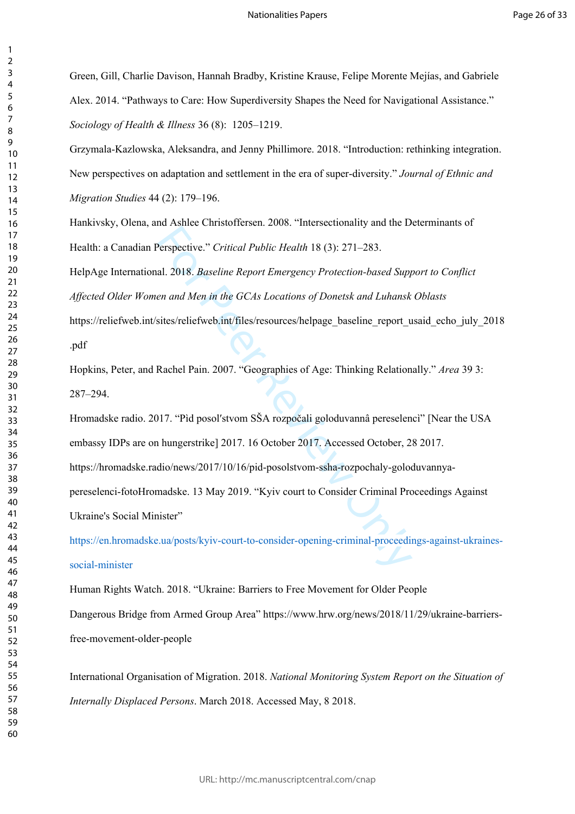Green, Gill, Charlie Davison, Hannah Bradby, Kristine Krause, Felipe Morente Mejías, and Gabriele Alex. 2014. "Pathways to Care: How Superdiversity Shapes the Need for Navigational Assistance." *Sociology of Health & Illness* 36 (8): 1205–1219.

Grzymala-Kazlowska, Aleksandra, and Jenny Phillimore. 2018. "Introduction: rethinking integration. New perspectives on adaptation and settlement in the era of super-diversity." *Journal of Ethnic and Migration Studies* 44 (2): 179–196.

Hankivsky, Olena, and Ashlee Christoffersen. 2008. "Intersectionality and the Determinants of Health: a Canadian Perspective." *Critical Public Health* 18 (3): 271–283.

HelpAge International. 2018. *Baseline Report Emergency Protection-based Support to Conflict Affected Older Women and Men in the GCAs Locations of Donetsk and Luhansk Oblasts* 

https://reliefweb.int/sites/reliefweb.int/files/resources/helpage\_baseline\_report\_usaid\_echo\_july\_2018\_ .pdf

Hopkins, Peter, and Rachel Pain. 2007. "Geographies of Age: Thinking Relationally." *Area* 39 3: 287–294.

Perspective." Critical Public Health 18 (3): 271–283.<br>al. 2018. *Baseline Report Emergency Protection-based Suppen and Men in the GCAs Locations of Donetsk and Luhansk*<br>sites/reliefweb.int/files/resources/helpage\_baseline\_ Hromadske radio. 2017. "Pìd posolʹstvom SŠA rozpočali goloduvannâ pereselencì" [Near the USA embassy IDPs are on hungerstrike] 2017. 16 October 2017. Accessed October, 28 2017. https://hromadske.radio/news/2017/10/16/pid-posolstvom-ssha-rozpochaly-goloduvannyapereselenci-fotoHromadske. 13 May 2019. "Kyiv court to Consider Criminal Proceedings Against Ukraine's Social Minister"

[https://en.hromadske.ua/posts/kyiv-court-to-consider-opening-criminal-proceedings-against-ukraines](https://en.hromadske.ua/posts/kyiv-court-to-consider-opening-criminal-proceedings-against-ukraines-social-minister)[social-minister](https://en.hromadske.ua/posts/kyiv-court-to-consider-opening-criminal-proceedings-against-ukraines-social-minister)

Human Rights Watch. 2018. "Ukraine: Barriers to Free Movement for Older People Dangerous Bridge from Armed Group Area" https://www.hrw.org/news/2018/11/29/ukraine-barriersfree-movement-older-people

International Organisation of Migration. 2018. *National Monitoring System Report on the Situation of Internally Displaced Persons*. March 2018. Accessed May, 8 2018.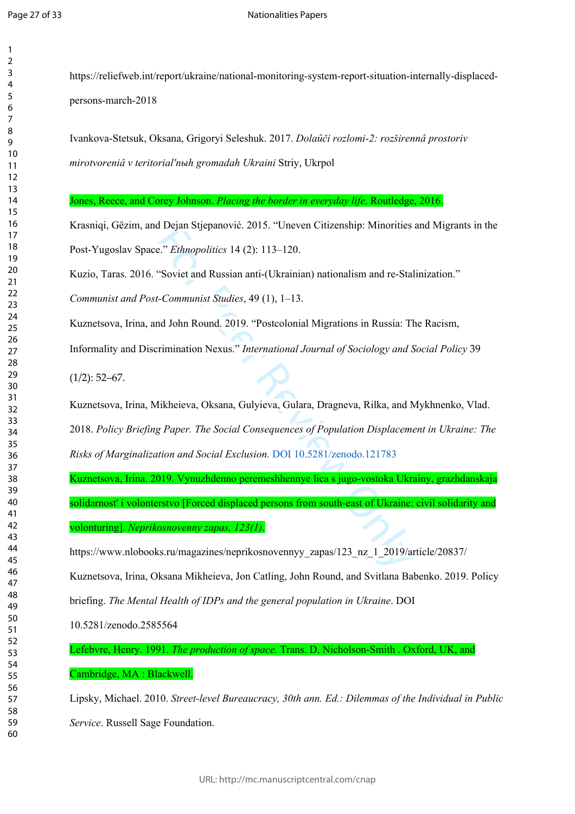$\mathbf{1}$  $\overline{2}$ 

https://reliefweb.int/report/ukraine/national-monitoring-system-report-situation-internally-displacedpersons-march-2018

Ivankova-Stetsuk, Oksana, Grigoryi Seleshuk. 2017. *Dolaûči rozlomi-2: rozširennâ prostoriv mirotvoreniâ v teritorialʹnыh gromadah Ukraini* Striy, Ukrpol

Jones, Reece, and Corey Johnson. *Placing the border in everyday life*. Routledge, 2016.

Krasniqi, Gëzim, and Dejan Stjepanović. 2015. "Uneven Citizenship: Minorities and Migrants in the Post-Yugoslav Space." *Ethnopolitics* 14 (2): 113–120.

Kuzio, Taras. 2016. "Soviet and Russian anti-(Ukrainian) nationalism and re-Stalinization."

*Communist and Post-Communist Studies*, 49 (1), 1–13.

Kuznetsova, Irina, and John Round. 2019. "Postcolonial Migrations in Russia: The Racism,

Informality and Discrimination Nexus." *International Journal of Sociology and Social Policy* 39

 $(1/2): 52-67.$ 

Kuznetsova, Irina, Mikheieva, Oksana, Gulyieva, Gulara, Dragneva, Rilka, and Mykhnenko, Vlad. 2018. *Policy Briefing Paper. The Social Consequences of Population Displacement in Ukraine: The Risks of Marginalization and Social Exclusion.* DOI 10.5281/zenodo.121783

Ethnopolitics 14 (2): 113–120.<br>
"Soviet and Russian anti-(Ukrainian) nationalism and re-Statement and Russian anti-(Ukrainian) nationalism and re-Statement and Russian anti-(Ukrainian) nationalism and re-Statement of Socie Kuznetsova, Irina. 2019. Vynuzhdenno peremeshhennye lica s jugo-vostoka Ukrainy, grazhdanskaja solidarnost' i volonterstvo [Forced displaced persons from south-east of Ukraine: civil solidarity and volonturing]. *Neprikosnovenny zapas, 123(1).*

https://www.nlobooks.ru/magazines/neprikosnovennyy\_zapas/123\_nz\_1\_2019/article/20837/

Kuznetsova, Irina, Oksana Mikheieva, Jon Catling, John Round, and Svitlana Babenko. 2019. Policy

briefing. *The Mental Health of IDPs and the general population in Ukraine*. DOI

10.5281/zenodo.2585564

Lefebvre, Henry. 1991. *The production of space.* Trans. D. Nicholson-Smith . Oxford, UK, and

Cambridge, MA : Blackwell.

Lipsky, Michael. 2010. *Street-level Bureaucracy, 30th ann. Ed.: Dilemmas of the Individual in Public Service*. Russell Sage Foundation.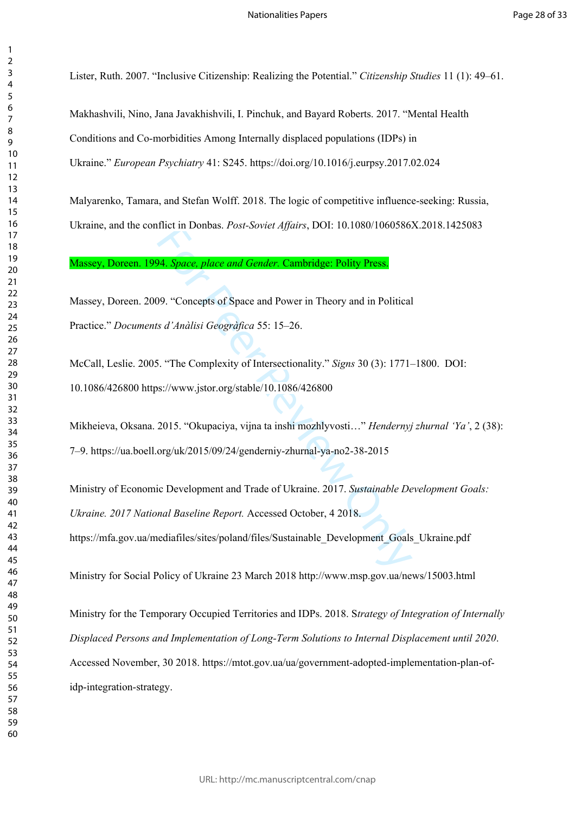Lister, Ruth. 2007. "Inclusive Citizenship: Realizing the Potential." *Citizenship Studies* 11 (1): 49–61.

Makhashvili, Nino, Jana Javakhishvili, I. Pinchuk, and Bayard Roberts. 2017. "Mental Health Conditions and Co-morbidities Among Internally displaced populations (IDPs) in Ukraine." *European Psychiatry* 41: S245. <https://doi.org/10.1016/j.eurpsy.2017.02.024>

Malyarenko, Tamara, and Stefan Wolff. 2018. The logic of competitive influence-seeking: Russia, Ukraine, and the conflict in Donbas. *Post-Soviet Affairs*, DOI: 10.1080/1060586X.2018.1425083

Massey, Doreen. 1994. *Space, place and Gender.* Cambridge: Polity Press.

Massey, Doreen. 2009. "Concepts of Space and Power in Theory and in Political Practice." *Documents d'Anàlisi Geogràfica* 55: 15–26.

McCall, Leslie. 2005. "The Complexity of Intersectionality." *Signs* 30 (3): 1771–1800. DOI: 10.1086/426800 https://www.jstor.org/stable/10.1086/426800

Mikheieva, Oksana. 2015. "Okupaciya, vijna ta inshi mozhlyvosti…" *Hendernyj zhurnal 'Ya'*, 2 (38): 7–9. https://ua.boell.org/uk/2015/09/24/genderniy-zhurnal-ya-no2-38-2015

Thet in Dollous. *Fost-Soviet Agatis*, DOT. 10.1060/1000560.<br> **14. Space, place and Gender. Cambridge: Polity Press.**<br>
19. "Concepts of Space and Power in Theory and in Political<br> *s d'Anàlisi Geogràfica* 55: 15–26.<br>
1. "T Ministry of Economic Development and Trade of Ukraine. 2017. *Sustainable Development Goals: Ukraine. 2017 National Baseline Report.* Accessed October, 4 2018. https://mfa.gov.ua/mediafiles/sites/poland/files/Sustainable\_Development\_Goals\_Ukraine.pdf

Ministry for Social Policy of Ukraine 23 March 2018 http://www.msp.gov.ua/news/15003.html

Ministry for the Temporary Occupied Territories and IDPs. 2018. S*trategy of Integration of Internally Displaced Persons and Implementation of Long-Term Solutions to Internal Displacement until 2020*. Accessed November, 30 2018. https://mtot.gov.ua/ua/government-adopted-implementation-plan-ofidp-integration-strategy.

 $\mathbf{1}$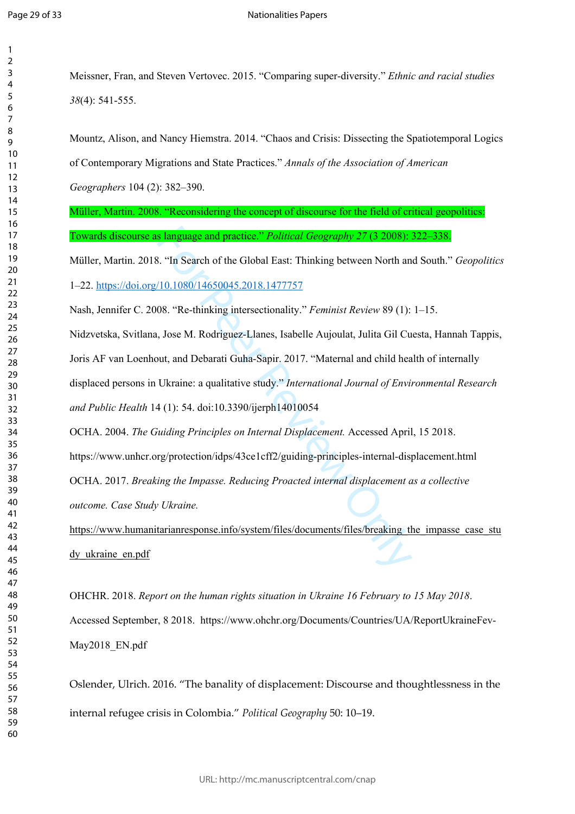| 1               |  |
|-----------------|--|
| 2               |  |
| 3               |  |
| 4               |  |
| 5               |  |
| 6               |  |
|                 |  |
| 8               |  |
|                 |  |
| 9               |  |
| 10              |  |
| 11              |  |
| $\overline{12}$ |  |
| 13              |  |
| $\overline{14}$ |  |
| 15              |  |
| 16              |  |
| $\overline{17}$ |  |
| 18              |  |
| 19              |  |
| 20              |  |
| $\overline{21}$ |  |
| 22              |  |
|                 |  |
| 23              |  |
| $\frac{24}{5}$  |  |
| 25              |  |
| 26              |  |
| $\overline{27}$ |  |
| 28              |  |
| 29              |  |
| 30              |  |
| $\overline{31}$ |  |
| $\overline{32}$ |  |
| 33              |  |
| $\frac{34}{5}$  |  |
| 35              |  |
|                 |  |
| 36              |  |
| 37<br>38        |  |
|                 |  |
| 39              |  |
| 40              |  |
| 41              |  |
| 42              |  |
| 43              |  |
| 44              |  |
| 45              |  |
| 46              |  |
| 47              |  |
| 48              |  |
| 49              |  |
| 50              |  |
| 51              |  |
| 52              |  |
| 53              |  |
|                 |  |
| 54              |  |
| 55              |  |
| 56              |  |
| 57              |  |
| 58<br>ξ         |  |

  Meissner, Fran, and Steven Vertovec. 2015. "Comparing super-diversity." *Ethnic and racial studies* (4): 541-555.

Mountz, Alison, and Nancy Hiemstra. 2014. "Chaos and Crisis: Dissecting the Spatiotemporal Logics of Contemporary Migrations and State Practices." *Annals of the Association of American Geographers* 104 (2): 382–390.

Müller, Martin. 2008. "Reconsidering the concept of discourse for the field of critical geopolitics: Towards discourse as language and practice." *Political Geography 27* (3 2008): 322–338.

Müller, Martin. 2018. "In Search of the Global East: Thinking between North and South." *Geopolitics*  1–22. <https://doi.org/10.1080/14650045.2018.1477757>

Nash, Jennifer C. 2008. "Re-thinking intersectionality." *Feminist Review* 89 (1): 1–15.

**s language and practice." Political Geography 27 (3 2008):**<br>
8. "In Search of the Global East: Thinking between North an<br>
10.1080/14650045.2018.1477757<br>
08. "Re-thinking intersectionality." *Feminist Review* 89 (1):<br>
1, J Nidzvetska, Svitlana, Jose M. Rodriguez-Llanes, Isabelle Aujoulat, Julita Gil Cuesta, Hannah Tappis, Joris AF van Loenhout, and Debarati Guha-Sapir. 2017. "Maternal and child health of internally displaced persons in Ukraine: a qualitative study." *International Journal of Environmental Research and Public Health* 14 (1): 54. doi:10.3390/ijerph14010054

OCHA. 2004. *The Guiding Principles on Internal Displacement.* Accessed April, 15 2018. <https://www.unhcr.org/protection/idps/43ce1cff2/guiding-principles-internal-displacement.html>

OCHA. 2017. *Breaking the Impasse. Reducing Proacted internal displacement as a collective outcome. Case Study Ukraine.* 

https://www.humanitarianresponse.info/system/files/documents/files/breaking the impasse case stu [dy\\_ukraine\\_en.pdf](https://www.humanitarianresponse.info/system/files/documents/files/breaking_the_impasse_case_study_ukraine_en.pdf)

OHCHR. 2018. *Report on the human rights situation in Ukraine 16 February to 15 May 2018*. Accessed September, 8 2018. https://www.ohchr.org/Documents/Countries/UA/ReportUkraineFev-May2018\_EN.pdf

Oslender, Ulrich. 2016. "The banality of displacement: Discourse and thoughtlessness in the internal refugee crisis in Colombia." *Political Geography* 50: 10–19.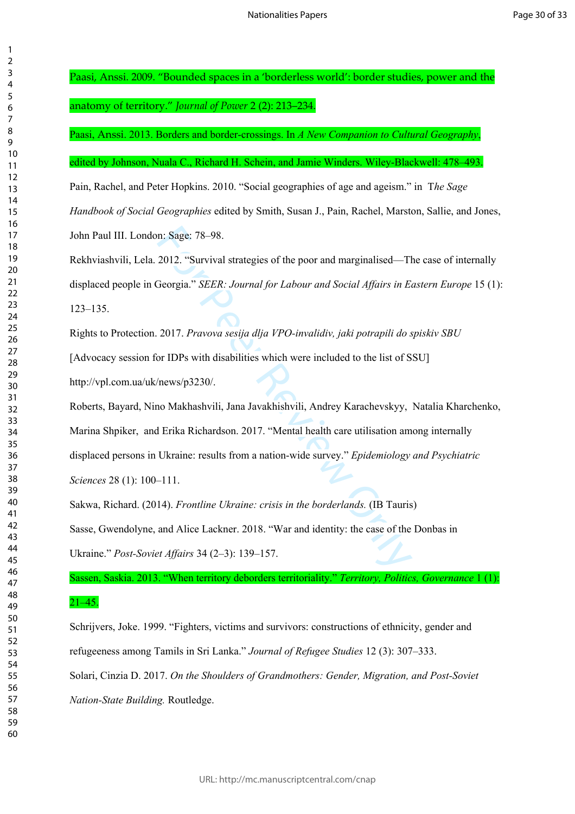Paasi, Anssi. 2009. "Bounded spaces in a 'borderless world': border studies, power and the

anatomy of territory." *Journal of Power* 2 (2): 213–234.

Paasi, Anssi. 2013. Borders and border-crossings. In *A New Companion to Cultural Geography*,

edited by Johnson, Nuala C., Richard H. Schein, and Jamie Winders. Wiley-Blackwell: 478–493.

Pain, Rachel, and Peter Hopkins. 2010. "Social geographies of age and ageism." in T*he Sage Handbook of Social Geographies* edited by Smith, Susan J., Pain, Rachel, Marston, Sallie, and Jones, John Paul III. London: Sage: 78–98.

Rekhviashvili, Lela. 2012. "Survival strategies of the poor and marginalised—The case of internally displaced people in Georgia." *SEER: Journal for Labour and Social Affairs in Eastern Europe* 15 (1): 123–135.

Rights to Protection. 2017. *Pravova sesіja dlja VPO-іnvalіdіv, jakі potrapili do spiskіv SBU* [Advocacy session for IDPs with disabilities which were included to the list of SSU] http://vpl.com.ua/uk/news/p3230/.

n: Sage: 78–98.<br>
2012. "Survival strategies of the poor and marginalised—Th<br>
3eorgia." *SEER: Journal for Labour and Social Affairs in E*<br>
2017. *Pravova sesija dlja VPO-invalidiv, jaki potrapili do s*<br>
or IDPs with disabi Roberts, Bayard, Nino Makhashvili, Jana Javakhishvili, Andrey Karachevskyy, Natalia Kharchenko, Marina Shpiker, and Erika Richardson. 2017. "Mental health care utilisation among internally displaced persons in Ukraine: results from a nation-wide survey." *Epidemiology and Psychiatric Sciences* 28 (1): 100–111.

Sakwa, Richard. (2014). *Frontline Ukraine: crisis in the borderlands.* (IB Tauris) Sasse, Gwendolyne, and Alice Lackner. 2018. "War and identity: the case of the Donbas in Ukraine." *Post-Soviet Affairs* 34 (2–3): 139–157.

Sassen, Saskia. 2013. "When territory deborders territoriality." *Territory, Politics, Governance* 1 (1):

# $21-45.$

Schrijvers, Joke. 1999. "Fighters, victims and survivors: constructions of ethnicity, gender and refugeeness among Tamils in Sri Lanka." *Journal of Refugee Studies* 12 (3): 307–333. Solari, Cinzia D. 2017. *On the Shoulders of Grandmothers: Gender, Migration, and Post-Soviet Nation-State Building.* Routledge.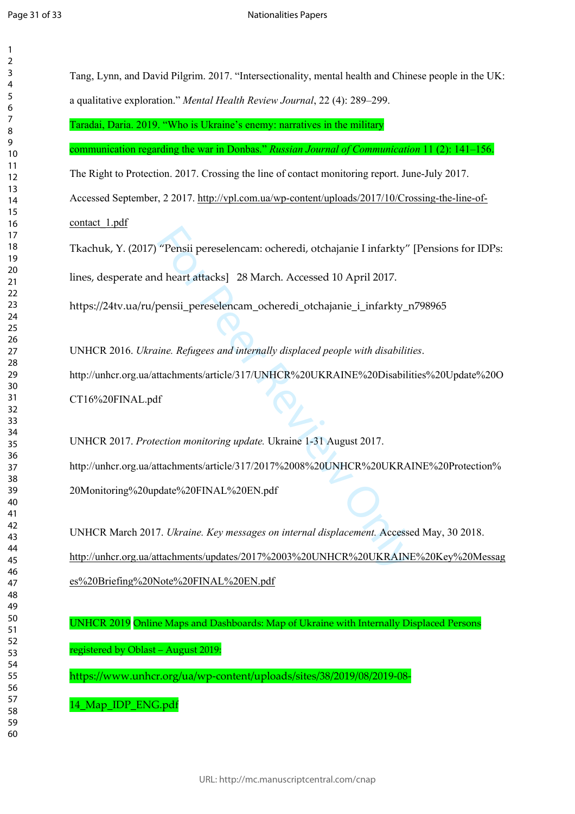$\mathbf{1}$  $\overline{2}$  $\overline{3}$  $\overline{4}$  $\overline{7}$  $\overline{9}$ 

|               | Tang, Lynn, and David Pilgrim. 2017. "Intersectionality, mental health and Chinese people in the UK: |
|---------------|------------------------------------------------------------------------------------------------------|
|               | a qualitative exploration." Mental Health Review Journal, 22 (4): 289-299.                           |
|               | Taradai, Daria. 2019. "Who is Ukraine's enemy: narratives in the military                            |
|               | communication regarding the war in Donbas." Russian Journal of Communication 11 (2): 141-156.        |
|               | The Right to Protection. 2017. Crossing the line of contact monitoring report. June-July 2017.       |
|               | Accessed September, 2 2017. http://vpl.com.ua/wp-content/uploads/2017/10/Crossing-the-line-of-       |
| contact_1.pdf |                                                                                                      |
|               | Tkachuk, Y. (2017) "Pensii pereselencam: ocheredi, otchajanie I infarkty" [Pensions for IDPs:        |
|               | lines, desperate and heart attacks] 28 March. Accessed 10 April 2017.                                |
|               | https://24tv.ua/ru/pensii_pereselencam_ocheredi_otchajanie_i_infarkty_n798965                        |
|               | UNHCR 2016. Ukraine. Refugees and internally displaced people with disabilities.                     |
|               | http://unhcr.org.ua/attachments/article/317/UNHCR%20UKRAINE%20Disabilities%20Update%20O              |
|               | CT16%20FINAL.pdf                                                                                     |
|               | UNHCR 2017. Protection monitoring update. Ukraine 1-31 August 2017.                                  |
|               | http://unhcr.org.ua/attachments/article/317/2017%2008%20UNHCR%20UKRAINE%20Protection%                |
|               | 20Monitoring%20update%20FINAL%20EN.pdf                                                               |
|               | UNHCR March 2017. Ukraine. Key messages on internal displacement. Accessed May, 30 2018.             |
|               | http://unhcr.org.ua/attachments/updates/2017%2003%20UNHCR%20UKRAINE%20Key%20Messag                   |
|               | es%20Briefing%20Note%20FINAL%20EN.pdf                                                                |
|               | UNHCR 2019 Online Maps and Dashboards: Map of Ukraine with Internally Displaced Persons              |
|               |                                                                                                      |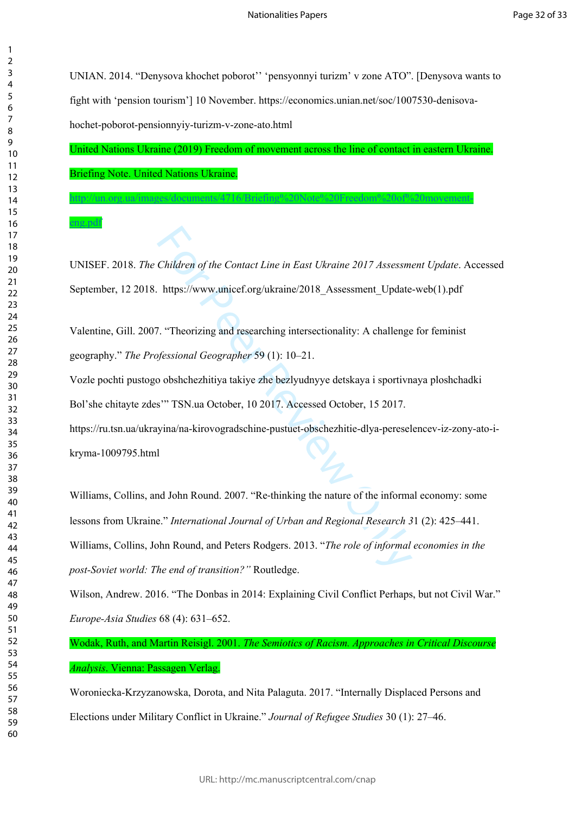UNIAN. 2014. "Denysova khochet poborot'' 'pensyonnyi turizm' v zone ATO". [Denysova wants to fight with 'pension tourism'] 10 November. https://economics.unian.net/soc/1007530-denisovahochet-poborot-pensionnyiy-turizm-v-zone-ato.html

United Nations Ukraine (2019) Freedom of movement across the line of contact in eastern Ukraine. Briefing Note. United Nations Ukraine.

[http://un.org.ua/images/documents/4716/Briefing%20Note%20Freedom%20of%20movement-](http://un.org.ua/images/documents/4716/Briefing%20Note%20Freedom%20of%20movement-eng.pdf)

UNISEF. 2018. *The Children of the Contact Line in East Ukraine 2017 Assessment Update*. Accessed September, 12 2018. https://www.unicef.org/ukraine/2018\_Assessment\_Update-web(1).pdf

Valentine, Gill. 2007. "Theorizing and researching intersectionality: A challenge for feminist geography." *The Professional Geographer* 59 (1): 10–21.

Vozle pochti pustogo obshchezhitiya takiye zhe bezlyudnyye detskaya i sportivnaya ploshchadki Bol'she chitayte zdes'" TSN.ua October, 10 2017. Accessed October, 15 2017. https://ru.tsn.ua/ukrayina/na-kirovogradschine-pustuet-obschezhitie-dlya-pereselencev-iz-zony-ato-ikryma-1009795.html

Children of the Contact Line in East Ukraine 2017 Assessm<br>https://www.unicef.org/ukraine/2018\_Assessment\_Update<br>7. "Theorizing and researching intersectionality: A challenge<br>fessional Geographer 59 (1): 10–21.<br>10 obshchezh Williams, Collins, and John Round. 2007. "Re-thinking the nature of the informal economy: some lessons from Ukraine." *International Journal of Urban and Regional Research 3* 1 (2): 425–441. Williams, Collins, John Round, and Peters Rodgers. 2013. "*The role of informal economies in the post-Soviet world: The end of transition?"* Routledge.

Wilson, Andrew. 2016. "The Donbas in 2014: Explaining Civil Conflict Perhaps, but not Civil War." *Europe-Asia Studies* 68 (4): 631–652.

Wodak, Ruth, and Martin Reisigl. 2001. *The Semiotics of Racism. Approaches in Critical Discourse Analysis*. Vienna: Passagen Verlag.

Woroniecka-Krzyzanowska, Dorota, and Nita Palaguta. 2017. "Internally Displaced Persons and Elections under Military Conflict in Ukraine." *Journal of Refugee Studies* 30 (1): 27–46.

 $\mathbf{1}$  $\overline{2}$  $\overline{3}$ 

[eng.pdf](http://un.org.ua/images/documents/4716/Briefing%20Note%20Freedom%20of%20movement-eng.pdf)